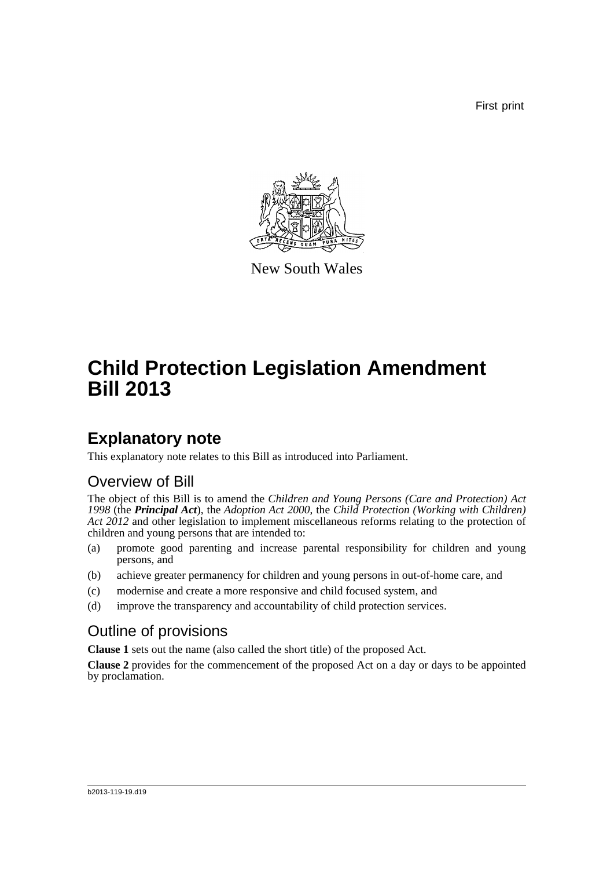First print



New South Wales

# **Child Protection Legislation Amendment Bill 2013**

## **Explanatory note**

This explanatory note relates to this Bill as introduced into Parliament.

## Overview of Bill

The object of this Bill is to amend the *Children and Young Persons (Care and Protection) Act 1998* (the *Principal Act*), the *Adoption Act 2000*, the *Child Protection (Working with Children) Act 2012* and other legislation to implement miscellaneous reforms relating to the protection of children and young persons that are intended to:

- (a) promote good parenting and increase parental responsibility for children and young persons, and
- (b) achieve greater permanency for children and young persons in out-of-home care, and
- (c) modernise and create a more responsive and child focused system, and
- (d) improve the transparency and accountability of child protection services.

## Outline of provisions

**Clause 1** sets out the name (also called the short title) of the proposed Act.

**Clause 2** provides for the commencement of the proposed Act on a day or days to be appointed by proclamation.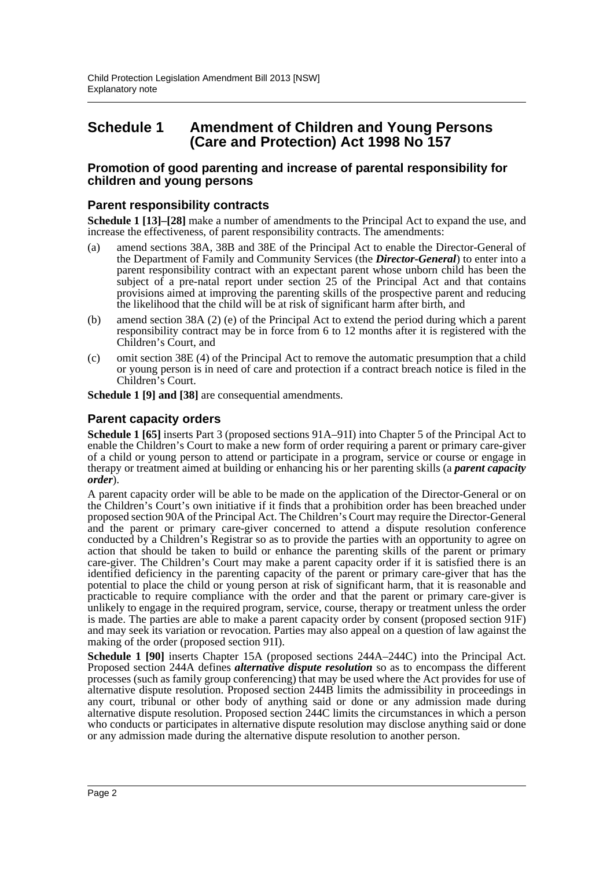## **Schedule 1 Amendment of Children and Young Persons (Care and Protection) Act 1998 No 157**

#### **Promotion of good parenting and increase of parental responsibility for children and young persons**

### **Parent responsibility contracts**

**Schedule 1 [13]–[28]** make a number of amendments to the Principal Act to expand the use, and increase the effectiveness, of parent responsibility contracts. The amendments:

- (a) amend sections 38A, 38B and 38E of the Principal Act to enable the Director-General of the Department of Family and Community Services (the *Director-General*) to enter into a parent responsibility contract with an expectant parent whose unborn child has been the subject of a pre-natal report under section 25 of the Principal Act and that contains provisions aimed at improving the parenting skills of the prospective parent and reducing the likelihood that the child will be at risk of significant harm after birth, and
- (b) amend section 38A (2) (e) of the Principal Act to extend the period during which a parent responsibility contract may be in force from 6 to 12 months after it is registered with the Children's Court, and
- (c) omit section 38E (4) of the Principal Act to remove the automatic presumption that a child or young person is in need of care and protection if a contract breach notice is filed in the Children's Court.

**Schedule 1 [9] and [38]** are consequential amendments.

### **Parent capacity orders**

**Schedule 1 [65]** inserts Part 3 (proposed sections 91A–91I) into Chapter 5 of the Principal Act to enable the Children's Court to make a new form of order requiring a parent or primary care-giver of a child or young person to attend or participate in a program, service or course or engage in therapy or treatment aimed at building or enhancing his or her parenting skills (a *parent capacity order*).

A parent capacity order will be able to be made on the application of the Director-General or on the Children's Court's own initiative if it finds that a prohibition order has been breached under proposed section 90A of the Principal Act. The Children's Court may require the Director-General and the parent or primary care-giver concerned to attend a dispute resolution conference conducted by a Children's Registrar so as to provide the parties with an opportunity to agree on action that should be taken to build or enhance the parenting skills of the parent or primary care-giver. The Children's Court may make a parent capacity order if it is satisfied there is an identified deficiency in the parenting capacity of the parent or primary care-giver that has the potential to place the child or young person at risk of significant harm, that it is reasonable and practicable to require compliance with the order and that the parent or primary care-giver is unlikely to engage in the required program, service, course, therapy or treatment unless the order is made. The parties are able to make a parent capacity order by consent (proposed section 91F) and may seek its variation or revocation. Parties may also appeal on a question of law against the making of the order (proposed section 91I).

**Schedule 1 [90]** inserts Chapter 15A (proposed sections 244A–244C) into the Principal Act. Proposed section 244A defines *alternative dispute resolution* so as to encompass the different processes (such as family group conferencing) that may be used where the Act provides for use of alternative dispute resolution. Proposed section 244B limits the admissibility in proceedings in any court, tribunal or other body of anything said or done or any admission made during alternative dispute resolution. Proposed section 244C limits the circumstances in which a person who conducts or participates in alternative dispute resolution may disclose anything said or done or any admission made during the alternative dispute resolution to another person.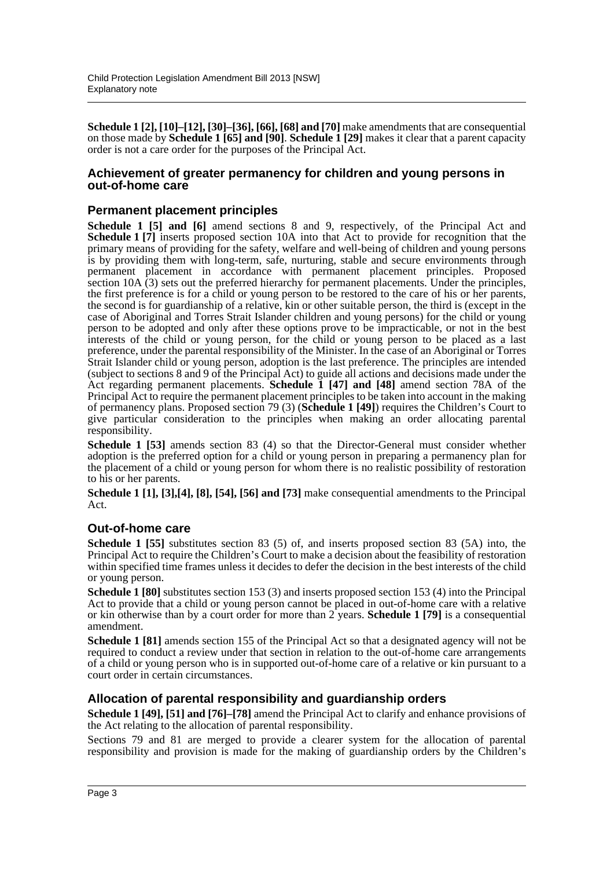**Schedule 1 [2], [10]–[12], [30]–[36], [66], [68] and [70]** make amendments that are consequential on those made by **Schedule 1 [65] and [90]**. **Schedule 1 [29]** makes it clear that a parent capacity order is not a care order for the purposes of the Principal Act.

#### **Achievement of greater permanency for children and young persons in out-of-home care**

## **Permanent placement principles**

**Schedule 1 [5] and [6]** amend sections 8 and 9, respectively, of the Principal Act and **Schedule 1 [7]** inserts proposed section 10A into that Act to provide for recognition that the primary means of providing for the safety, welfare and well-being of children and young persons is by providing them with long-term, safe, nurturing, stable and secure environments through permanent placement in accordance with permanent placement principles. Proposed section 10A (3) sets out the preferred hierarchy for permanent placements. Under the principles, the first preference is for a child or young person to be restored to the care of his or her parents, the second is for guardianship of a relative, kin or other suitable person, the third is (except in the case of Aboriginal and Torres Strait Islander children and young persons) for the child or young person to be adopted and only after these options prove to be impracticable, or not in the best interests of the child or young person, for the child or young person to be placed as a last preference, under the parental responsibility of the Minister. In the case of an Aboriginal or Torres Strait Islander child or young person, adoption is the last preference. The principles are intended (subject to sections 8 and 9 of the Principal Act) to guide all actions and decisions made under the Act regarding permanent placements. **Schedule 1 [47] and [48]** amend section 78A of the Principal Act to require the permanent placement principles to be taken into account in the making of permanency plans. Proposed section 79 (3) (**Schedule 1 [49]**) requires the Children's Court to give particular consideration to the principles when making an order allocating parental responsibility.

**Schedule 1 [53]** amends section 83 (4) so that the Director-General must consider whether adoption is the preferred option for a child or young person in preparing a permanency plan for the placement of a child or young person for whom there is no realistic possibility of restoration to his or her parents.

**Schedule 1 [1], [3],[4], [8], [54], [56] and [73]** make consequential amendments to the Principal Act.

#### **Out-of-home care**

**Schedule 1 [55]** substitutes section 83 (5) of, and inserts proposed section 83 (5A) into, the Principal Act to require the Children's Court to make a decision about the feasibility of restoration within specified time frames unless it decides to defer the decision in the best interests of the child or young person.

**Schedule 1 [80]** substitutes section 153 (3) and inserts proposed section 153 (4) into the Principal Act to provide that a child or young person cannot be placed in out-of-home care with a relative or kin otherwise than by a court order for more than 2 years. **Schedule 1 [79]** is a consequential amendment.

**Schedule 1 [81]** amends section 155 of the Principal Act so that a designated agency will not be required to conduct a review under that section in relation to the out-of-home care arrangements of a child or young person who is in supported out-of-home care of a relative or kin pursuant to a court order in certain circumstances.

#### **Allocation of parental responsibility and guardianship orders**

**Schedule 1 [49], [51] and [76]–[78]** amend the Principal Act to clarify and enhance provisions of the Act relating to the allocation of parental responsibility.

Sections 79 and 81 are merged to provide a clearer system for the allocation of parental responsibility and provision is made for the making of guardianship orders by the Children's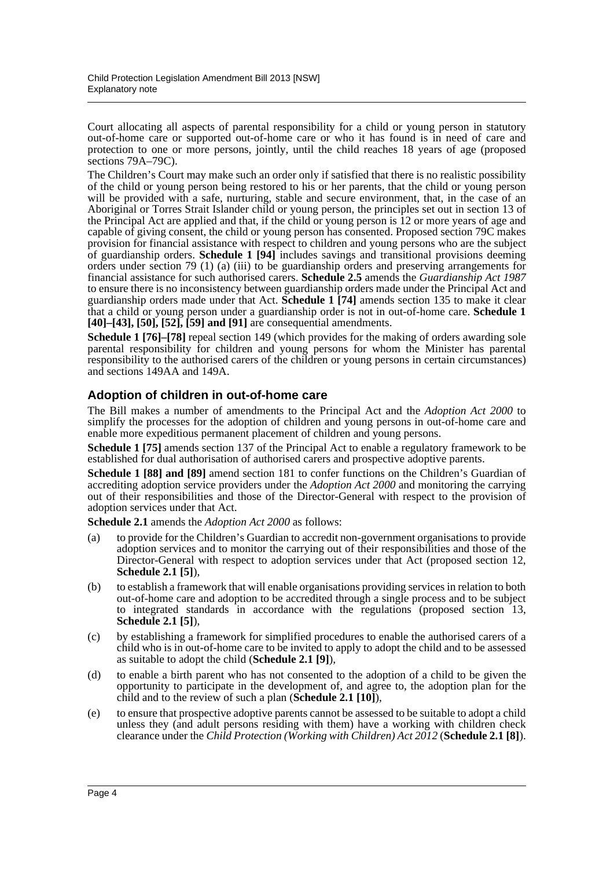Court allocating all aspects of parental responsibility for a child or young person in statutory out-of-home care or supported out-of-home care or who it has found is in need of care and protection to one or more persons, jointly, until the child reaches 18 years of age (proposed sections 79A–79C).

The Children's Court may make such an order only if satisfied that there is no realistic possibility of the child or young person being restored to his or her parents, that the child or young person will be provided with a safe, nurturing, stable and secure environment, that, in the case of an Aboriginal or Torres Strait Islander child or young person, the principles set out in section 13 of the Principal Act are applied and that, if the child or young person is 12 or more years of age and capable of giving consent, the child or young person has consented. Proposed section 79C makes provision for financial assistance with respect to children and young persons who are the subject of guardianship orders. **Schedule 1 [94]** includes savings and transitional provisions deeming orders under section 79 (1) (a) (iii) to be guardianship orders and preserving arrangements for financial assistance for such authorised carers. **Schedule 2.5** amends the *Guardianship Act 1987* to ensure there is no inconsistency between guardianship orders made under the Principal Act and guardianship orders made under that Act. **Schedule 1** [74] amends section 135 to make it clear that a child or young person under a guardianship order is not in out-of-home care. **Schedule 1 [40]–[43], [50], [52], [59] and [91]** are consequential amendments.

**Schedule 1 [76]–[78]** repeal section 149 (which provides for the making of orders awarding sole parental responsibility for children and young persons for whom the Minister has parental responsibility to the authorised carers of the children or young persons in certain circumstances) and sections 149AA and 149A.

## **Adoption of children in out-of-home care**

The Bill makes a number of amendments to the Principal Act and the *Adoption Act 2000* to simplify the processes for the adoption of children and young persons in out-of-home care and enable more expeditious permanent placement of children and young persons.

**Schedule 1 [75]** amends section 137 of the Principal Act to enable a regulatory framework to be established for dual authorisation of authorised carers and prospective adoptive parents.

**Schedule 1 [88] and [89]** amend section 181 to confer functions on the Children's Guardian of accrediting adoption service providers under the *Adoption Act 2000* and monitoring the carrying out of their responsibilities and those of the Director-General with respect to the provision of adoption services under that Act.

**Schedule 2.1** amends the *Adoption Act 2000* as follows:

- (a) to provide for the Children's Guardian to accredit non-government organisations to provide adoption services and to monitor the carrying out of their responsibilities and those of the Director-General with respect to adoption services under that Act (proposed section 12, **Schedule 2.1 [5]**),
- (b) to establish a framework that will enable organisations providing services in relation to both out-of-home care and adoption to be accredited through a single process and to be subject to integrated standards in accordance with the regulations (proposed section 13, **Schedule 2.1 [5]**),
- (c) by establishing a framework for simplified procedures to enable the authorised carers of a child who is in out-of-home care to be invited to apply to adopt the child and to be assessed as suitable to adopt the child (**Schedule 2.1 [9]**),
- (d) to enable a birth parent who has not consented to the adoption of a child to be given the opportunity to participate in the development of, and agree to, the adoption plan for the child and to the review of such a plan (**Schedule 2.1 [10]**),
- (e) to ensure that prospective adoptive parents cannot be assessed to be suitable to adopt a child unless they (and adult persons residing with them) have a working with children check clearance under the *Child Protection (Working with Children) Act 2012* (**Schedule 2.1 [8]**).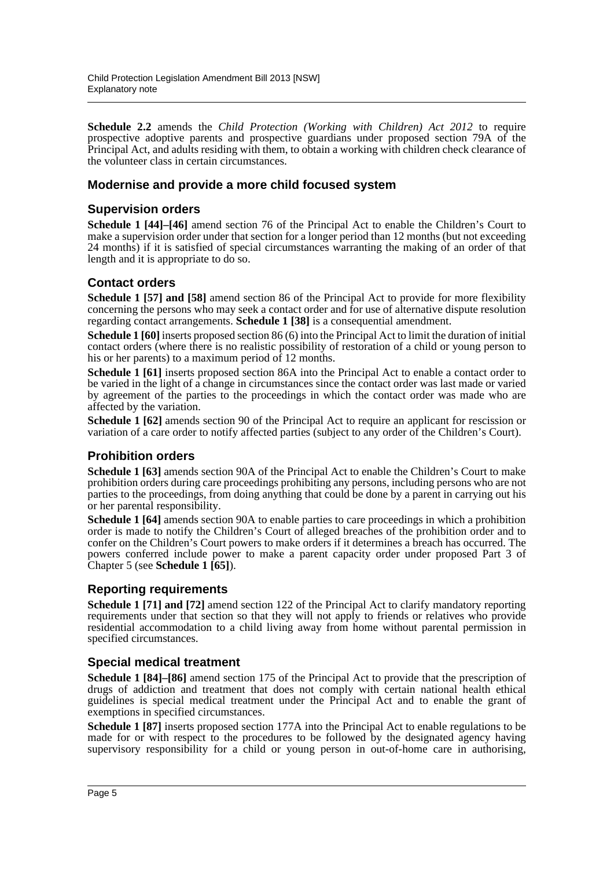**Schedule 2.2** amends the *Child Protection (Working with Children) Act 2012* to require prospective adoptive parents and prospective guardians under proposed section 79A of the Principal Act, and adults residing with them, to obtain a working with children check clearance of the volunteer class in certain circumstances.

## **Modernise and provide a more child focused system**

## **Supervision orders**

**Schedule 1 [44]–[46]** amend section 76 of the Principal Act to enable the Children's Court to make a supervision order under that section for a longer period than 12 months (but not exceeding 24 months) if it is satisfied of special circumstances warranting the making of an order of that length and it is appropriate to do so.

## **Contact orders**

**Schedule 1 [57] and [58]** amend section 86 of the Principal Act to provide for more flexibility concerning the persons who may seek a contact order and for use of alternative dispute resolution regarding contact arrangements. **Schedule 1 [38]** is a consequential amendment.

**Schedule 1 [60]** inserts proposed section 86 (6) into the Principal Act to limit the duration of initial contact orders (where there is no realistic possibility of restoration of a child or young person to his or her parents) to a maximum period of 12 months.

**Schedule 1 [61]** inserts proposed section 86A into the Principal Act to enable a contact order to be varied in the light of a change in circumstances since the contact order was last made or varied by agreement of the parties to the proceedings in which the contact order was made who are affected by the variation.

**Schedule 1 [62]** amends section 90 of the Principal Act to require an applicant for rescission or variation of a care order to notify affected parties (subject to any order of the Children's Court).

## **Prohibition orders**

**Schedule 1 [63]** amends section 90A of the Principal Act to enable the Children's Court to make prohibition orders during care proceedings prohibiting any persons, including persons who are not parties to the proceedings, from doing anything that could be done by a parent in carrying out his or her parental responsibility.

**Schedule 1 [64]** amends section 90A to enable parties to care proceedings in which a prohibition order is made to notify the Children's Court of alleged breaches of the prohibition order and to confer on the Children's Court powers to make orders if it determines a breach has occurred. The powers conferred include power to make a parent capacity order under proposed Part 3 of Chapter 5 (see **Schedule 1 [65]**).

## **Reporting requirements**

**Schedule 1 [71] and [72]** amend section 122 of the Principal Act to clarify mandatory reporting requirements under that section so that they will not apply to friends or relatives who provide residential accommodation to a child living away from home without parental permission in specified circumstances.

## **Special medical treatment**

**Schedule 1 [84]–[86]** amend section 175 of the Principal Act to provide that the prescription of drugs of addiction and treatment that does not comply with certain national health ethical guidelines is special medical treatment under the Principal Act and to enable the grant of exemptions in specified circumstances.

**Schedule 1 [87]** inserts proposed section 177A into the Principal Act to enable regulations to be made for or with respect to the procedures to be followed by the designated agency having supervisory responsibility for a child or young person in out-of-home care in authorising,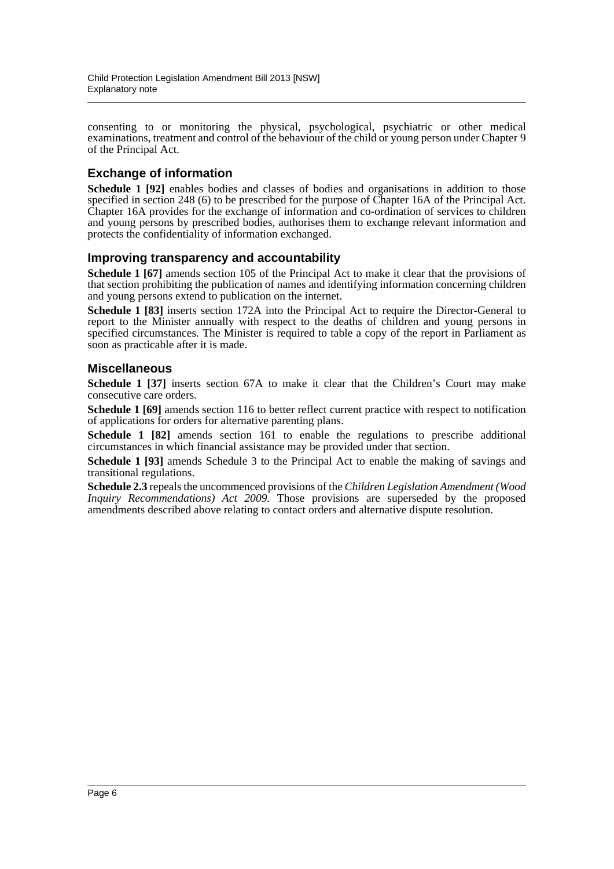consenting to or monitoring the physical, psychological, psychiatric or other medical examinations, treatment and control of the behaviour of the child or young person under Chapter 9 of the Principal Act.

## **Exchange of information**

Schedule 1 [92] enables bodies and classes of bodies and organisations in addition to those specified in section 248 (6) to be prescribed for the purpose of Chapter 16A of the Principal Act. Chapter 16A provides for the exchange of information and co-ordination of services to children and young persons by prescribed bodies, authorises them to exchange relevant information and protects the confidentiality of information exchanged.

## **Improving transparency and accountability**

**Schedule 1 [67]** amends section 105 of the Principal Act to make it clear that the provisions of that section prohibiting the publication of names and identifying information concerning children and young persons extend to publication on the internet.

**Schedule 1 [83]** inserts section 172A into the Principal Act to require the Director-General to report to the Minister annually with respect to the deaths of children and young persons in specified circumstances. The Minister is required to table a copy of the report in Parliament as soon as practicable after it is made.

### **Miscellaneous**

**Schedule 1 [37]** inserts section 67A to make it clear that the Children's Court may make consecutive care orders.

**Schedule 1 [69]** amends section 116 to better reflect current practice with respect to notification of applications for orders for alternative parenting plans.

**Schedule 1 [82]** amends section 161 to enable the regulations to prescribe additional circumstances in which financial assistance may be provided under that section.

**Schedule 1 [93]** amends Schedule 3 to the Principal Act to enable the making of savings and transitional regulations.

**Schedule 2.3** repeals the uncommenced provisions of the *Children Legislation Amendment (Wood Inquiry Recommendations) Act 2009.* Those provisions are superseded by the proposed amendments described above relating to contact orders and alternative dispute resolution.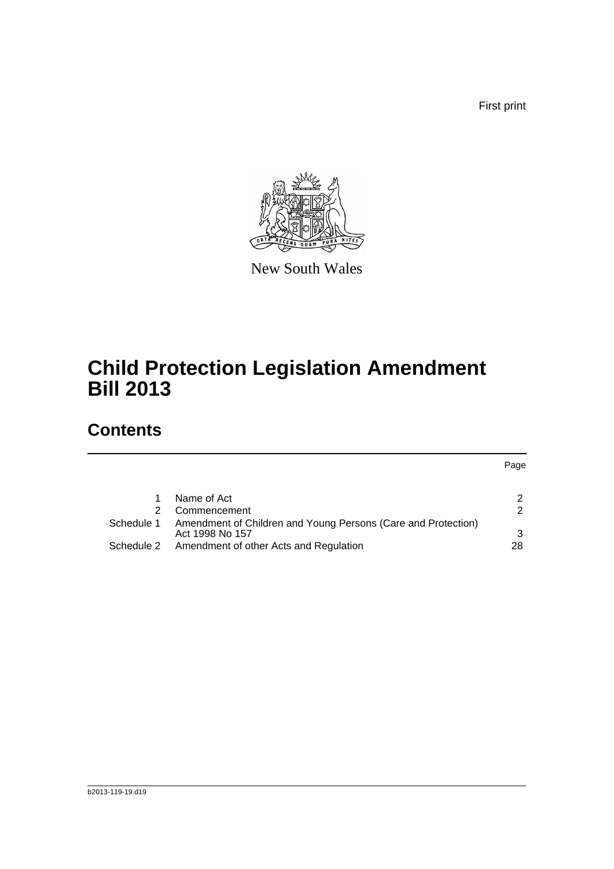First print



New South Wales

# **Child Protection Legislation Amendment Bill 2013**

## **Contents**

Page

| 1.         | Name of Act                                                                      |               |
|------------|----------------------------------------------------------------------------------|---------------|
| 2          | Commencement                                                                     | 2             |
| Schedule 1 | Amendment of Children and Young Persons (Care and Protection)<br>Act 1998 No 157 | $\mathcal{B}$ |
| Schedule 2 | Amendment of other Acts and Regulation                                           | 28.           |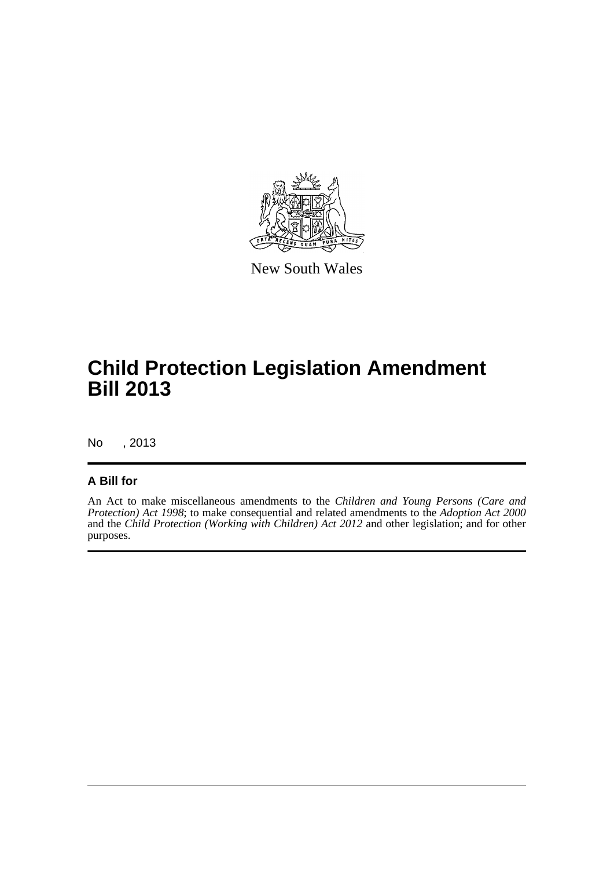

New South Wales

# **Child Protection Legislation Amendment Bill 2013**

No , 2013

## **A Bill for**

An Act to make miscellaneous amendments to the *Children and Young Persons (Care and Protection) Act 1998*; to make consequential and related amendments to the *Adoption Act 2000* and the *Child Protection (Working with Children) Act 2012* and other legislation; and for other purposes.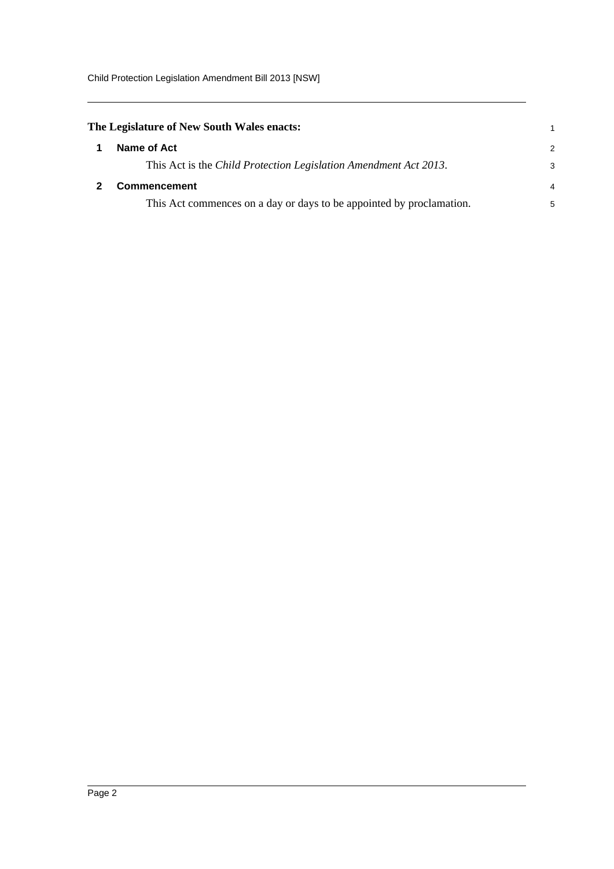<span id="page-8-1"></span><span id="page-8-0"></span>

|   | The Legislature of New South Wales enacts:                           |               |
|---|----------------------------------------------------------------------|---------------|
| 1 | Name of Act                                                          | $\mathcal{P}$ |
|   | This Act is the Child Protection Legislation Amendment Act 2013.     | 3             |
|   | <b>Commencement</b>                                                  | 4             |
|   | This Act commences on a day or days to be appointed by proclamation. | 5             |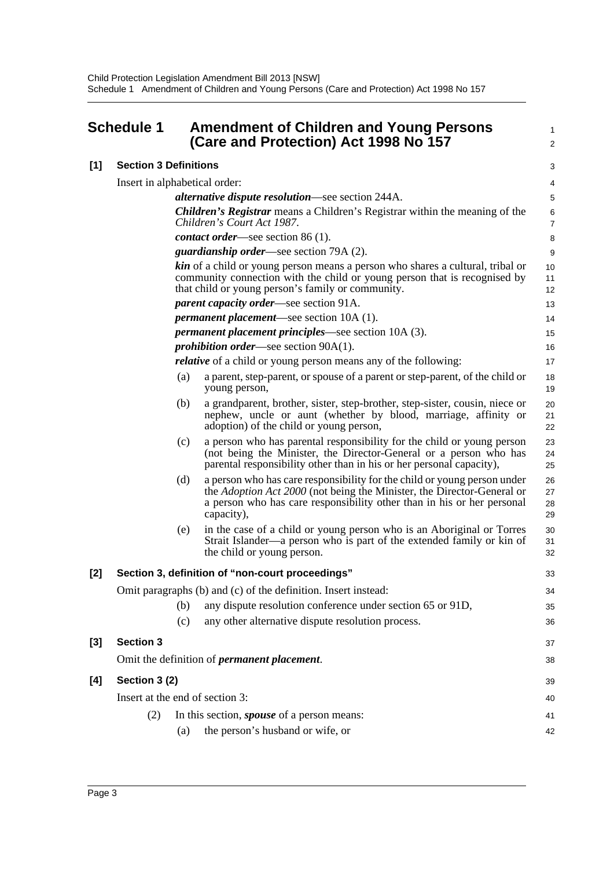<span id="page-9-0"></span>

| <b>Schedule 1</b> |                                 | <b>Amendment of Children and Young Persons</b><br>(Care and Protection) Act 1998 No 157 |                                                                                                                                                                                                                                            |                         |  |  |
|-------------------|---------------------------------|-----------------------------------------------------------------------------------------|--------------------------------------------------------------------------------------------------------------------------------------------------------------------------------------------------------------------------------------------|-------------------------|--|--|
| [1]               | <b>Section 3 Definitions</b>    |                                                                                         |                                                                                                                                                                                                                                            |                         |  |  |
|                   | Insert in alphabetical order:   |                                                                                         |                                                                                                                                                                                                                                            | 4                       |  |  |
|                   |                                 |                                                                                         | <i>alternative dispute resolution</i> —see section 244A.                                                                                                                                                                                   | 5                       |  |  |
|                   |                                 |                                                                                         | <b>Children's Registrar</b> means a Children's Registrar within the meaning of the<br>Children's Court Act 1987.                                                                                                                           | $\,6$<br>$\overline{7}$ |  |  |
|                   |                                 |                                                                                         | <i>contact order</i> —see section 86 (1).                                                                                                                                                                                                  | 8                       |  |  |
|                   |                                 |                                                                                         | <i>guardianship order—see section 79A (2).</i>                                                                                                                                                                                             | 9                       |  |  |
|                   |                                 |                                                                                         | <b>kin</b> of a child or young person means a person who shares a cultural, tribal or<br>community connection with the child or young person that is recognised by<br>that child or young person's family or community.                    | 10<br>11<br>12          |  |  |
|                   |                                 |                                                                                         | <i>parent capacity order—see section 91A.</i>                                                                                                                                                                                              | 13                      |  |  |
|                   |                                 |                                                                                         | <i>permanent placement</i> —see section 10A (1).                                                                                                                                                                                           | 14                      |  |  |
|                   |                                 |                                                                                         | <i>permanent placement principles</i> —see section 10A (3).                                                                                                                                                                                | 15                      |  |  |
|                   |                                 |                                                                                         | <i>prohibition order—see section 90A(1).</i>                                                                                                                                                                                               | 16                      |  |  |
|                   |                                 |                                                                                         | <i>relative</i> of a child or young person means any of the following:                                                                                                                                                                     | 17                      |  |  |
|                   |                                 | (a)                                                                                     | a parent, step-parent, or spouse of a parent or step-parent, of the child or<br>young person,                                                                                                                                              | 18<br>19                |  |  |
|                   |                                 | (b)                                                                                     | a grandparent, brother, sister, step-brother, step-sister, cousin, niece or<br>nephew, uncle or aunt (whether by blood, marriage, affinity or<br>adoption) of the child or young person,                                                   | 20<br>21<br>22          |  |  |
|                   |                                 | (c)                                                                                     | a person who has parental responsibility for the child or young person<br>(not being the Minister, the Director-General or a person who has<br>parental responsibility other than in his or her personal capacity),                        | 23<br>24<br>25          |  |  |
|                   |                                 | (d)                                                                                     | a person who has care responsibility for the child or young person under<br>the Adoption Act 2000 (not being the Minister, the Director-General or<br>a person who has care responsibility other than in his or her personal<br>capacity), | 26<br>27<br>28<br>29    |  |  |
|                   |                                 | (e)                                                                                     | in the case of a child or young person who is an Aboriginal or Torres<br>Strait Islander—a person who is part of the extended family or kin of<br>the child or young person.                                                               | 30<br>31<br>32          |  |  |
| [2]               |                                 |                                                                                         | Section 3, definition of "non-court proceedings"                                                                                                                                                                                           | 33                      |  |  |
|                   |                                 |                                                                                         | Omit paragraphs (b) and (c) of the definition. Insert instead:                                                                                                                                                                             | 34                      |  |  |
|                   |                                 | (b)                                                                                     | any dispute resolution conference under section 65 or 91D,                                                                                                                                                                                 | 35                      |  |  |
|                   |                                 | (c)                                                                                     | any other alternative dispute resolution process.                                                                                                                                                                                          | 36                      |  |  |
| [3]               | <b>Section 3</b>                |                                                                                         |                                                                                                                                                                                                                                            | 37                      |  |  |
|                   |                                 | Omit the definition of <i>permanent placement</i> .                                     |                                                                                                                                                                                                                                            |                         |  |  |
| [4]               | Section 3 (2)                   |                                                                                         |                                                                                                                                                                                                                                            | 39                      |  |  |
|                   | Insert at the end of section 3: |                                                                                         |                                                                                                                                                                                                                                            | 40                      |  |  |
|                   | (2)                             |                                                                                         | In this section, <i>spouse</i> of a person means:                                                                                                                                                                                          | 41                      |  |  |
|                   |                                 | (a)                                                                                     | the person's husband or wife, or                                                                                                                                                                                                           | 42                      |  |  |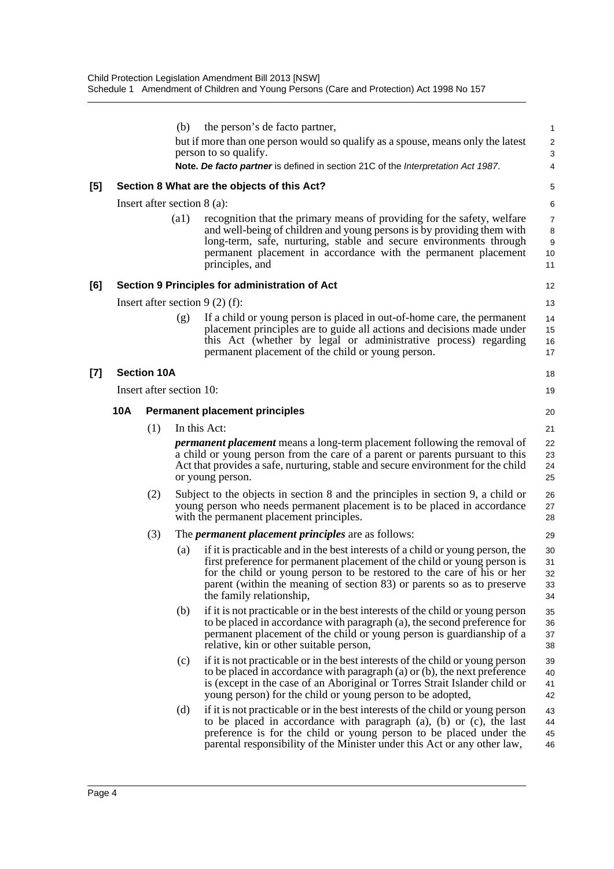|            |     | (b)                | the person's de facto partner,                                                                                                                                                                                                                                                                                                             | $\mathbf{1}$                                                                                                                                                                                                                                                                                                                                                                                                                                                                                                                                                                                                                                                                                                                                                                                                                                                                                                                                                                                                |
|------------|-----|--------------------|--------------------------------------------------------------------------------------------------------------------------------------------------------------------------------------------------------------------------------------------------------------------------------------------------------------------------------------------|-------------------------------------------------------------------------------------------------------------------------------------------------------------------------------------------------------------------------------------------------------------------------------------------------------------------------------------------------------------------------------------------------------------------------------------------------------------------------------------------------------------------------------------------------------------------------------------------------------------------------------------------------------------------------------------------------------------------------------------------------------------------------------------------------------------------------------------------------------------------------------------------------------------------------------------------------------------------------------------------------------------|
|            |     |                    |                                                                                                                                                                                                                                                                                                                                            | $\overline{\mathbf{c}}$<br>3                                                                                                                                                                                                                                                                                                                                                                                                                                                                                                                                                                                                                                                                                                                                                                                                                                                                                                                                                                                |
|            |     |                    |                                                                                                                                                                                                                                                                                                                                            | 4                                                                                                                                                                                                                                                                                                                                                                                                                                                                                                                                                                                                                                                                                                                                                                                                                                                                                                                                                                                                           |
|            |     |                    |                                                                                                                                                                                                                                                                                                                                            | 5                                                                                                                                                                                                                                                                                                                                                                                                                                                                                                                                                                                                                                                                                                                                                                                                                                                                                                                                                                                                           |
|            |     |                    |                                                                                                                                                                                                                                                                                                                                            | 6                                                                                                                                                                                                                                                                                                                                                                                                                                                                                                                                                                                                                                                                                                                                                                                                                                                                                                                                                                                                           |
|            |     | $\left( a1\right)$ | recognition that the primary means of providing for the safety, welfare<br>and well-being of children and young persons is by providing them with<br>long-term, safe, nurturing, stable and secure environments through<br>permanent placement in accordance with the permanent placement<br>principles, and                               | $\overline{7}$<br>8<br>9<br>10<br>11                                                                                                                                                                                                                                                                                                                                                                                                                                                                                                                                                                                                                                                                                                                                                                                                                                                                                                                                                                        |
|            |     |                    |                                                                                                                                                                                                                                                                                                                                            | 12                                                                                                                                                                                                                                                                                                                                                                                                                                                                                                                                                                                                                                                                                                                                                                                                                                                                                                                                                                                                          |
|            |     |                    |                                                                                                                                                                                                                                                                                                                                            | 13                                                                                                                                                                                                                                                                                                                                                                                                                                                                                                                                                                                                                                                                                                                                                                                                                                                                                                                                                                                                          |
|            |     | (g)                | If a child or young person is placed in out-of-home care, the permanent<br>placement principles are to guide all actions and decisions made under<br>this Act (whether by legal or administrative process) regarding<br>permanent placement of the child or young person.                                                                  | 14<br>15<br>16<br>17                                                                                                                                                                                                                                                                                                                                                                                                                                                                                                                                                                                                                                                                                                                                                                                                                                                                                                                                                                                        |
|            |     |                    |                                                                                                                                                                                                                                                                                                                                            | 18                                                                                                                                                                                                                                                                                                                                                                                                                                                                                                                                                                                                                                                                                                                                                                                                                                                                                                                                                                                                          |
|            |     |                    |                                                                                                                                                                                                                                                                                                                                            | 19                                                                                                                                                                                                                                                                                                                                                                                                                                                                                                                                                                                                                                                                                                                                                                                                                                                                                                                                                                                                          |
| <b>10A</b> |     |                    |                                                                                                                                                                                                                                                                                                                                            | 20                                                                                                                                                                                                                                                                                                                                                                                                                                                                                                                                                                                                                                                                                                                                                                                                                                                                                                                                                                                                          |
|            | (1) |                    |                                                                                                                                                                                                                                                                                                                                            | 21                                                                                                                                                                                                                                                                                                                                                                                                                                                                                                                                                                                                                                                                                                                                                                                                                                                                                                                                                                                                          |
|            |     |                    |                                                                                                                                                                                                                                                                                                                                            | 22<br>23<br>24<br>25                                                                                                                                                                                                                                                                                                                                                                                                                                                                                                                                                                                                                                                                                                                                                                                                                                                                                                                                                                                        |
|            | (2) |                    |                                                                                                                                                                                                                                                                                                                                            | 26<br>27<br>28                                                                                                                                                                                                                                                                                                                                                                                                                                                                                                                                                                                                                                                                                                                                                                                                                                                                                                                                                                                              |
|            | (3) |                    |                                                                                                                                                                                                                                                                                                                                            | 29                                                                                                                                                                                                                                                                                                                                                                                                                                                                                                                                                                                                                                                                                                                                                                                                                                                                                                                                                                                                          |
|            |     | (a)                | if it is practicable and in the best interests of a child or young person, the<br>first preference for permanent placement of the child or young person is<br>for the child or young person to be restored to the care of his or her<br>parent (within the meaning of section 83) or parents so as to preserve<br>the family relationship, | 30<br>31<br>32<br>33<br>34                                                                                                                                                                                                                                                                                                                                                                                                                                                                                                                                                                                                                                                                                                                                                                                                                                                                                                                                                                                  |
|            |     | (b)                | if it is not practicable or in the best interests of the child or young person<br>to be placed in accordance with paragraph (a), the second preference for<br>permanent placement of the child or young person is guardianship of a<br>relative, kin or other suitable person,                                                             | 35<br>36<br>37<br>38                                                                                                                                                                                                                                                                                                                                                                                                                                                                                                                                                                                                                                                                                                                                                                                                                                                                                                                                                                                        |
|            |     | (c)                | if it is not practicable or in the best interests of the child or young person<br>to be placed in accordance with paragraph $(a)$ or $(b)$ , the next preference<br>is (except in the case of an Aboriginal or Torres Strait Islander child or<br>young person) for the child or young person to be adopted,                               | 39<br>40<br>41<br>42                                                                                                                                                                                                                                                                                                                                                                                                                                                                                                                                                                                                                                                                                                                                                                                                                                                                                                                                                                                        |
|            |     | (d)                | if it is not practicable or in the best interests of the child or young person<br>to be placed in accordance with paragraph (a), (b) or (c), the last<br>preference is for the child or young person to be placed under the<br>parental responsibility of the Minister under this Act or any other law,                                    | 43<br>44<br>45<br>46                                                                                                                                                                                                                                                                                                                                                                                                                                                                                                                                                                                                                                                                                                                                                                                                                                                                                                                                                                                        |
|            |     |                    | <b>Section 10A</b>                                                                                                                                                                                                                                                                                                                         | but if more than one person would so qualify as a spouse, means only the latest<br>person to so qualify.<br>Note. De facto partner is defined in section 21C of the Interpretation Act 1987.<br>Section 8 What are the objects of this Act?<br>Insert after section $8$ (a):<br>Section 9 Principles for administration of Act<br>Insert after section $9(2)$ (f):<br>Insert after section 10:<br><b>Permanent placement principles</b><br>In this Act:<br><i>permanent placement</i> means a long-term placement following the removal of<br>a child or young person from the care of a parent or parents pursuant to this<br>Act that provides a safe, nurturing, stable and secure environment for the child<br>or young person.<br>Subject to the objects in section 8 and the principles in section 9, a child or<br>young person who needs permanent placement is to be placed in accordance<br>with the permanent placement principles.<br>The <i>permanent placement principles</i> are as follows: |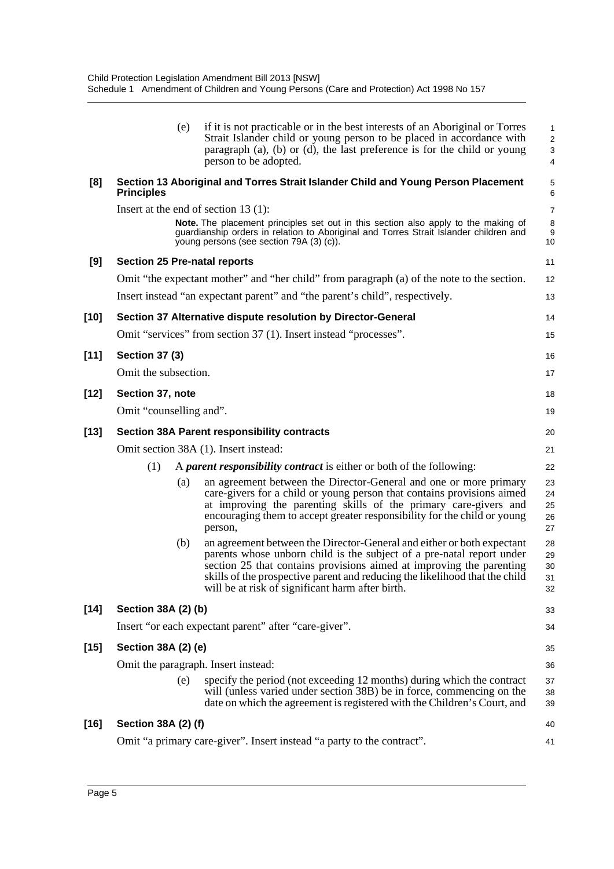|        | (e)                                    | if it is not practicable or in the best interests of an Aboriginal or Torres<br>Strait Islander child or young person to be placed in accordance with<br>paragraph $(a)$ , $(b)$ or $(d)$ , the last preference is for the child or young<br>person to be adopted.                                                                                         | $\mathbf{1}$<br>$\overline{2}$<br>3<br>4 |
|--------|----------------------------------------|------------------------------------------------------------------------------------------------------------------------------------------------------------------------------------------------------------------------------------------------------------------------------------------------------------------------------------------------------------|------------------------------------------|
| [8]    | <b>Principles</b>                      | Section 13 Aboriginal and Torres Strait Islander Child and Young Person Placement                                                                                                                                                                                                                                                                          | 5<br>$\,6$                               |
|        | Insert at the end of section $13(1)$ : |                                                                                                                                                                                                                                                                                                                                                            | 7                                        |
|        |                                        | <b>Note.</b> The placement principles set out in this section also apply to the making of<br>guardianship orders in relation to Aboriginal and Torres Strait Islander children and<br>young persons (see section 79A (3) (c)).                                                                                                                             | $\,8\,$<br>9<br>10                       |
| [9]    | <b>Section 25 Pre-natal reports</b>    |                                                                                                                                                                                                                                                                                                                                                            | 11                                       |
|        |                                        | Omit "the expectant mother" and "her child" from paragraph (a) of the note to the section.                                                                                                                                                                                                                                                                 | 12                                       |
|        |                                        | Insert instead "an expectant parent" and "the parent's child", respectively.                                                                                                                                                                                                                                                                               | 13                                       |
| $[10]$ |                                        | Section 37 Alternative dispute resolution by Director-General                                                                                                                                                                                                                                                                                              | 14                                       |
|        |                                        | Omit "services" from section 37 (1). Insert instead "processes".                                                                                                                                                                                                                                                                                           | 15                                       |
| $[11]$ | <b>Section 37 (3)</b>                  |                                                                                                                                                                                                                                                                                                                                                            | 16                                       |
|        | Omit the subsection.                   |                                                                                                                                                                                                                                                                                                                                                            | 17                                       |
| $[12]$ | Section 37, note                       |                                                                                                                                                                                                                                                                                                                                                            | 18                                       |
|        | Omit "counselling and".                |                                                                                                                                                                                                                                                                                                                                                            | 19                                       |
| $[13]$ |                                        | <b>Section 38A Parent responsibility contracts</b>                                                                                                                                                                                                                                                                                                         | 20                                       |
|        |                                        | Omit section 38A (1). Insert instead:                                                                                                                                                                                                                                                                                                                      | 21                                       |
|        | (1)                                    | A parent responsibility contract is either or both of the following:                                                                                                                                                                                                                                                                                       | 22                                       |
|        | (a)                                    | an agreement between the Director-General and one or more primary<br>care-givers for a child or young person that contains provisions aimed<br>at improving the parenting skills of the primary care-givers and<br>encouraging them to accept greater responsibility for the child or young<br>person,                                                     | 23<br>24<br>25<br>26<br>27               |
|        | (b)                                    | an agreement between the Director-General and either or both expectant<br>parents whose unborn child is the subject of a pre-natal report under<br>section 25 that contains provisions aimed at improving the parenting<br>skills of the prospective parent and reducing the likelihood that the child<br>will be at risk of significant harm after birth. | 28<br>29<br>30<br>31<br>32               |
| $[14]$ | Section 38A (2) (b)                    |                                                                                                                                                                                                                                                                                                                                                            | 33                                       |
|        |                                        | Insert "or each expectant parent" after "care-giver".                                                                                                                                                                                                                                                                                                      | 34                                       |
| $[15]$ | Section 38A (2) (e)                    |                                                                                                                                                                                                                                                                                                                                                            | 35                                       |
|        | Omit the paragraph. Insert instead:    |                                                                                                                                                                                                                                                                                                                                                            | 36                                       |
|        | (e)                                    | specify the period (not exceeding 12 months) during which the contract<br>will (unless varied under section 38B) be in force, commencing on the<br>date on which the agreement is registered with the Children's Court, and                                                                                                                                | 37<br>38<br>39                           |
| $[16]$ | Section 38A (2) (f)                    |                                                                                                                                                                                                                                                                                                                                                            | 40                                       |
|        |                                        | Omit "a primary care-giver". Insert instead "a party to the contract".                                                                                                                                                                                                                                                                                     | 41                                       |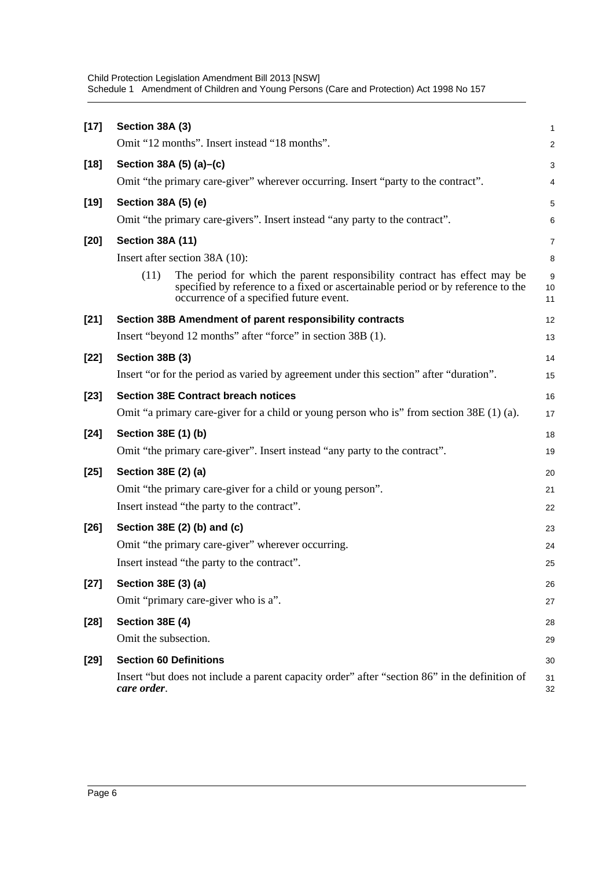| $[17]$ | Section 38A (3)                                                                                                                                                                                                  | $\mathbf{1}$   |
|--------|------------------------------------------------------------------------------------------------------------------------------------------------------------------------------------------------------------------|----------------|
|        | Omit "12 months". Insert instead "18 months".                                                                                                                                                                    | 2              |
|        |                                                                                                                                                                                                                  |                |
| $[18]$ | Section 38A (5) (a)–(c)<br>Omit "the primary care-giver" wherever occurring. Insert "party to the contract".                                                                                                     | 3              |
|        |                                                                                                                                                                                                                  | 4              |
| $[19]$ | Section 38A (5) (e)                                                                                                                                                                                              | 5              |
|        | Omit "the primary care-givers". Insert instead "any party to the contract".                                                                                                                                      | 6              |
| $[20]$ | <b>Section 38A (11)</b>                                                                                                                                                                                          | $\overline{7}$ |
|        | Insert after section 38A (10):                                                                                                                                                                                   | 8              |
|        | (11)<br>The period for which the parent responsibility contract has effect may be<br>specified by reference to a fixed or ascertainable period or by reference to the<br>occurrence of a specified future event. | 9<br>10<br>11  |
| $[21]$ | Section 38B Amendment of parent responsibility contracts                                                                                                                                                         | 12             |
|        | Insert "beyond 12 months" after "force" in section 38B (1).                                                                                                                                                      | 13             |
| $[22]$ | Section 38B (3)                                                                                                                                                                                                  | 14             |
|        | Insert "or for the period as varied by agreement under this section" after "duration".                                                                                                                           | 15             |
| $[23]$ | <b>Section 38E Contract breach notices</b>                                                                                                                                                                       | 16             |
|        | Omit "a primary care-giver for a child or young person who is" from section $38E(1)$ (a).                                                                                                                        | 17             |
| $[24]$ | Section 38E (1) (b)                                                                                                                                                                                              | 18             |
|        | Omit "the primary care-giver". Insert instead "any party to the contract".                                                                                                                                       | 19             |
| $[25]$ | Section 38E (2) (a)                                                                                                                                                                                              | 20             |
|        | Omit "the primary care-giver for a child or young person".                                                                                                                                                       | 21             |
|        | Insert instead "the party to the contract".                                                                                                                                                                      | 22             |
| $[26]$ | Section 38E (2) (b) and (c)                                                                                                                                                                                      | 23             |
|        | Omit "the primary care-giver" wherever occurring.                                                                                                                                                                | 24             |
|        | Insert instead "the party to the contract".                                                                                                                                                                      | 25             |
| $[27]$ | Section 38E (3) (a)                                                                                                                                                                                              | 26             |
|        | Omit "primary care-giver who is a".                                                                                                                                                                              | 27             |
| $[28]$ | Section 38E (4)                                                                                                                                                                                                  | 28             |
|        | Omit the subsection.                                                                                                                                                                                             | 29             |
| $[29]$ | <b>Section 60 Definitions</b>                                                                                                                                                                                    | 30             |
|        | Insert "but does not include a parent capacity order" after "section 86" in the definition of<br>care order.                                                                                                     | 31<br>32       |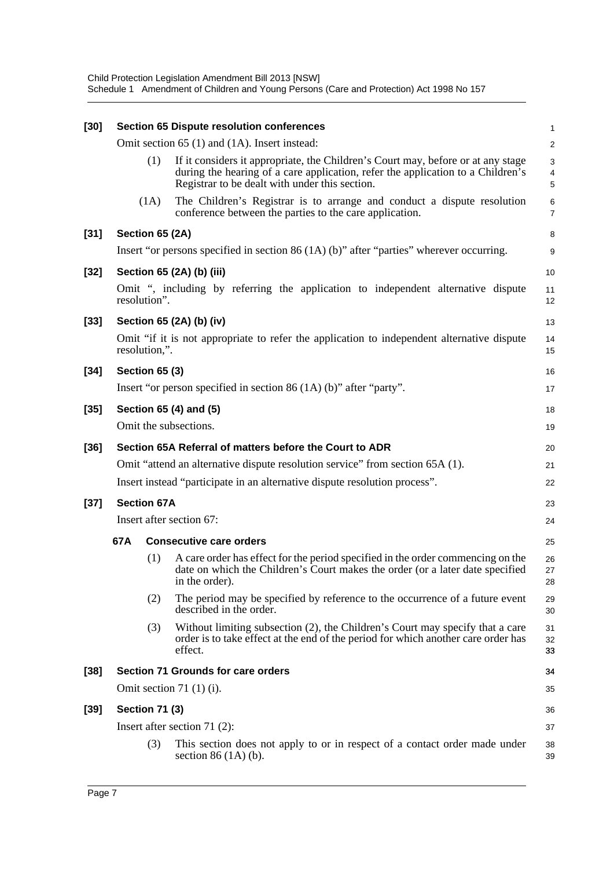| $[30]$ |                                                         |                          | <b>Section 65 Dispute resolution conferences</b>                                                                                                                                                                      | $\mathbf{1}$        |  |  |
|--------|---------------------------------------------------------|--------------------------|-----------------------------------------------------------------------------------------------------------------------------------------------------------------------------------------------------------------------|---------------------|--|--|
|        |                                                         |                          | Omit section 65 (1) and (1A). Insert instead:                                                                                                                                                                         | $\overline{2}$      |  |  |
|        |                                                         | (1)                      | If it considers it appropriate, the Children's Court may, before or at any stage<br>during the hearing of a care application, refer the application to a Children's<br>Registrar to be dealt with under this section. | 3<br>4<br>5         |  |  |
|        |                                                         | (1A)                     | The Children's Registrar is to arrange and conduct a dispute resolution<br>conference between the parties to the care application.                                                                                    | 6<br>$\overline{7}$ |  |  |
| $[31]$ | Section 65 (2A)                                         |                          |                                                                                                                                                                                                                       | 8                   |  |  |
|        |                                                         |                          | Insert "or persons specified in section $86(1A)(b)$ " after "parties" wherever occurring.                                                                                                                             | 9                   |  |  |
| $[32]$ |                                                         |                          | Section 65 (2A) (b) (iii)                                                                                                                                                                                             | 10                  |  |  |
|        | resolution".                                            |                          | Omit ", including by referring the application to independent alternative dispute                                                                                                                                     | 11<br>12            |  |  |
| $[33]$ |                                                         |                          | Section 65 (2A) (b) (iv)                                                                                                                                                                                              | 13                  |  |  |
|        | resolution,".                                           |                          | Omit "if it is not appropriate to refer the application to independent alternative dispute                                                                                                                            | 14<br>15            |  |  |
| $[34]$ | <b>Section 65 (3)</b>                                   |                          |                                                                                                                                                                                                                       | 16                  |  |  |
|        |                                                         |                          | Insert "or person specified in section 86 $(1A)$ (b)" after "party".                                                                                                                                                  | 17                  |  |  |
| $[35]$ |                                                         |                          | Section 65 (4) and (5)                                                                                                                                                                                                | 18                  |  |  |
|        |                                                         |                          | Omit the subsections.                                                                                                                                                                                                 | 19                  |  |  |
| $[36]$ | Section 65A Referral of matters before the Court to ADR |                          |                                                                                                                                                                                                                       |                     |  |  |
|        |                                                         |                          | Omit "attend an alternative dispute resolution service" from section 65A (1).                                                                                                                                         | 21                  |  |  |
|        |                                                         |                          | Insert instead "participate in an alternative dispute resolution process".                                                                                                                                            | 22                  |  |  |
| $[37]$ | <b>Section 67A</b>                                      |                          |                                                                                                                                                                                                                       |                     |  |  |
|        |                                                         | Insert after section 67: |                                                                                                                                                                                                                       |                     |  |  |
|        | 67A                                                     |                          | <b>Consecutive care orders</b>                                                                                                                                                                                        | 25                  |  |  |
|        |                                                         | (1)                      | A care order has effect for the period specified in the order commencing on the<br>date on which the Children's Court makes the order (or a later date specified<br>in the order).                                    | 26<br>27<br>28      |  |  |
|        |                                                         | (2)                      | The period may be specified by reference to the occurrence of a future event<br>described in the order.                                                                                                               | 29<br>30            |  |  |
|        |                                                         | (3)                      | Without limiting subsection (2), the Children's Court may specify that a care<br>order is to take effect at the end of the period for which another care order has<br>effect.                                         | 31<br>32<br>33      |  |  |
| $[38]$ |                                                         |                          | Section 71 Grounds for care orders                                                                                                                                                                                    | 34                  |  |  |
|        |                                                         |                          | Omit section 71 $(1)(i)$ .                                                                                                                                                                                            | 35                  |  |  |
| $[39]$ | <b>Section 71 (3)</b>                                   |                          |                                                                                                                                                                                                                       | 36                  |  |  |
|        |                                                         |                          | Insert after section 71 (2):                                                                                                                                                                                          | 37                  |  |  |
|        |                                                         | (3)                      | This section does not apply to or in respect of a contact order made under<br>section $86(1A)(b)$ .                                                                                                                   | 38<br>39            |  |  |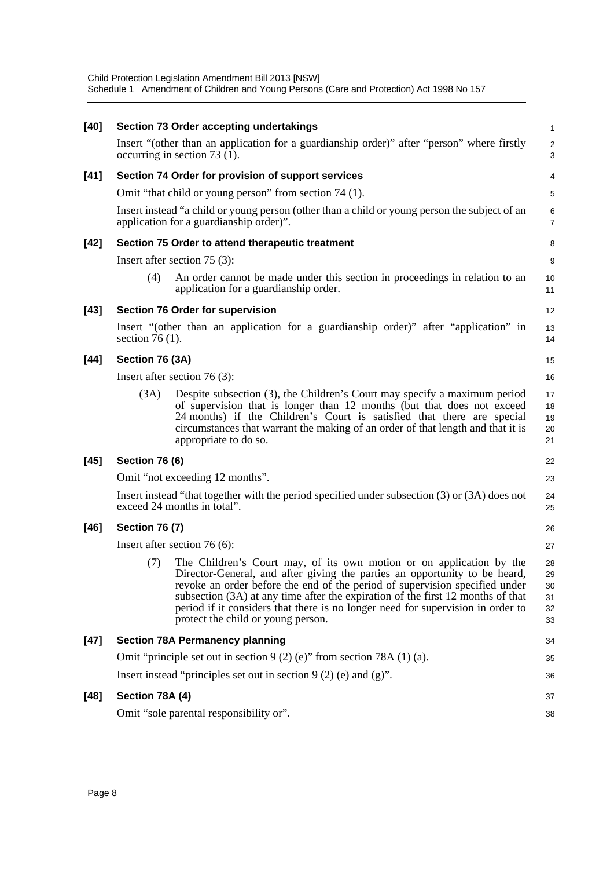Child Protection Legislation Amendment Bill 2013 [NSW] Schedule 1 Amendment of Children and Young Persons (Care and Protection) Act 1998 No 157

| $[40]$ |                       | <b>Section 73 Order accepting undertakings</b>                                                                                                                                                                                                                                                                                                                                                                                                | 1                                |
|--------|-----------------------|-----------------------------------------------------------------------------------------------------------------------------------------------------------------------------------------------------------------------------------------------------------------------------------------------------------------------------------------------------------------------------------------------------------------------------------------------|----------------------------------|
|        |                       | Insert "(other than an application for a guardianship order)" after "person" where firstly<br>occurring in section $73(1)$ .                                                                                                                                                                                                                                                                                                                  | $\overline{\mathbf{c}}$<br>3     |
| $[41]$ |                       | Section 74 Order for provision of support services                                                                                                                                                                                                                                                                                                                                                                                            | 4                                |
|        |                       | Omit "that child or young person" from section 74 (1).                                                                                                                                                                                                                                                                                                                                                                                        | 5                                |
|        |                       | Insert instead "a child or young person (other than a child or young person the subject of an<br>application for a guardianship order)".                                                                                                                                                                                                                                                                                                      | 6<br>$\overline{7}$              |
| $[42]$ |                       | Section 75 Order to attend therapeutic treatment                                                                                                                                                                                                                                                                                                                                                                                              | 8                                |
|        |                       | Insert after section $75(3)$ :                                                                                                                                                                                                                                                                                                                                                                                                                | 9                                |
|        | (4)                   | An order cannot be made under this section in proceedings in relation to an<br>application for a guardianship order.                                                                                                                                                                                                                                                                                                                          | 10<br>11                         |
| $[43]$ |                       | <b>Section 76 Order for supervision</b>                                                                                                                                                                                                                                                                                                                                                                                                       | 12                               |
|        | section 76 $(1)$ .    | Insert "(other than an application for a guardianship order)" after "application" in                                                                                                                                                                                                                                                                                                                                                          | 13<br>14                         |
| [44]   | Section 76 (3A)       |                                                                                                                                                                                                                                                                                                                                                                                                                                               | 15                               |
|        |                       | Insert after section $76(3)$ :                                                                                                                                                                                                                                                                                                                                                                                                                | 16                               |
|        | (3A)                  | Despite subsection (3), the Children's Court may specify a maximum period<br>of supervision that is longer than 12 months (but that does not exceed<br>24 months) if the Children's Court is satisfied that there are special<br>circumstances that warrant the making of an order of that length and that it is<br>appropriate to do so.                                                                                                     | 17<br>18<br>19<br>20<br>21       |
| $[45]$ | <b>Section 76 (6)</b> |                                                                                                                                                                                                                                                                                                                                                                                                                                               | 22                               |
|        |                       | Omit "not exceeding 12 months".                                                                                                                                                                                                                                                                                                                                                                                                               | 23                               |
|        |                       | Insert instead "that together with the period specified under subsection (3) or (3A) does not<br>exceed 24 months in total".                                                                                                                                                                                                                                                                                                                  | 24<br>25                         |
| $[46]$ | <b>Section 76 (7)</b> |                                                                                                                                                                                                                                                                                                                                                                                                                                               | 26                               |
|        |                       | Insert after section $76(6)$ :                                                                                                                                                                                                                                                                                                                                                                                                                | 27                               |
|        | (7)                   | The Children's Court may, of its own motion or on application by the<br>Director-General, and after giving the parties an opportunity to be heard,<br>revoke an order before the end of the period of supervision specified under<br>subsection (3A) at any time after the expiration of the first 12 months of that<br>period if it considers that there is no longer need for supervision in order to<br>protect the child or young person. | 28<br>29<br>30<br>31<br>32<br>33 |
| $[47]$ |                       | <b>Section 78A Permanency planning</b>                                                                                                                                                                                                                                                                                                                                                                                                        | 34                               |
|        |                       | Omit "principle set out in section 9 (2) (e)" from section 78A (1) (a).                                                                                                                                                                                                                                                                                                                                                                       | 35                               |
|        |                       | Insert instead "principles set out in section $9(2)$ (e) and (g)".                                                                                                                                                                                                                                                                                                                                                                            | 36                               |
| $[48]$ | Section 78A (4)       |                                                                                                                                                                                                                                                                                                                                                                                                                                               | 37                               |
|        |                       | Omit "sole parental responsibility or".                                                                                                                                                                                                                                                                                                                                                                                                       | 38                               |
|        |                       |                                                                                                                                                                                                                                                                                                                                                                                                                                               |                                  |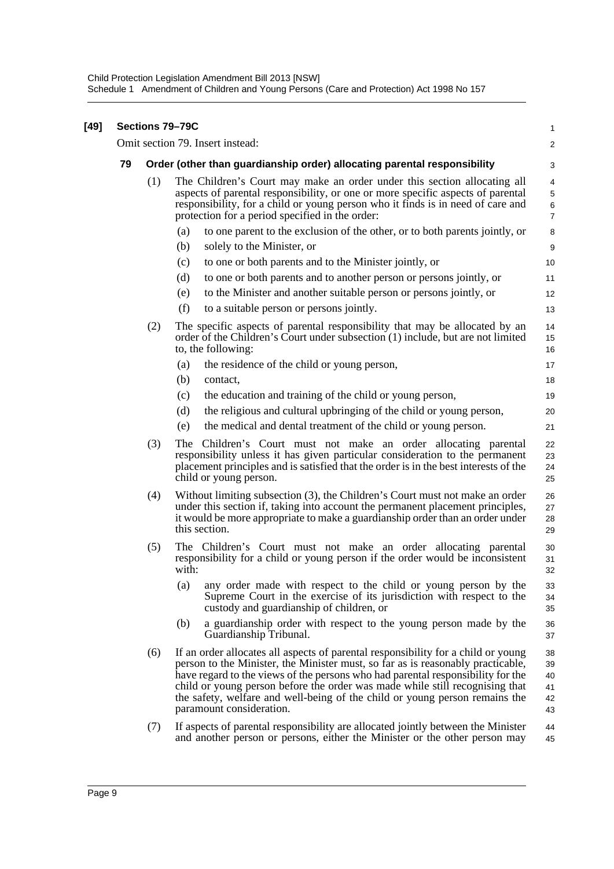|    |                                                                          | Sections 79-79C                                                                                                                                                                                                                                                                                                                                                                                                                                    | 1                                |  |  |  |
|----|--------------------------------------------------------------------------|----------------------------------------------------------------------------------------------------------------------------------------------------------------------------------------------------------------------------------------------------------------------------------------------------------------------------------------------------------------------------------------------------------------------------------------------------|----------------------------------|--|--|--|
|    |                                                                          | Omit section 79. Insert instead:                                                                                                                                                                                                                                                                                                                                                                                                                   | $\overline{c}$                   |  |  |  |
| 79 | Order (other than guardianship order) allocating parental responsibility |                                                                                                                                                                                                                                                                                                                                                                                                                                                    |                                  |  |  |  |
|    | (1)                                                                      | The Children's Court may make an order under this section allocating all<br>aspects of parental responsibility, or one or more specific aspects of parental<br>responsibility, for a child or young person who it finds is in need of care and<br>protection for a period specified in the order:                                                                                                                                                  | 4<br>5<br>6<br>$\overline{7}$    |  |  |  |
|    |                                                                          | to one parent to the exclusion of the other, or to both parents jointly, or<br>(a)                                                                                                                                                                                                                                                                                                                                                                 | 8                                |  |  |  |
|    |                                                                          | solely to the Minister, or<br>(b)                                                                                                                                                                                                                                                                                                                                                                                                                  | 9                                |  |  |  |
|    |                                                                          | to one or both parents and to the Minister jointly, or<br>(c)                                                                                                                                                                                                                                                                                                                                                                                      | 10                               |  |  |  |
|    |                                                                          | (d)<br>to one or both parents and to another person or persons jointly, or                                                                                                                                                                                                                                                                                                                                                                         | 11                               |  |  |  |
|    |                                                                          | to the Minister and another suitable person or persons jointly, or<br>(e)                                                                                                                                                                                                                                                                                                                                                                          | 12                               |  |  |  |
|    |                                                                          | (f)<br>to a suitable person or persons jointly.                                                                                                                                                                                                                                                                                                                                                                                                    | 13                               |  |  |  |
|    | (2)                                                                      | The specific aspects of parental responsibility that may be allocated by an<br>order of the Children's Court under subsection (1) include, but are not limited<br>to, the following:                                                                                                                                                                                                                                                               | 14<br>15<br>16                   |  |  |  |
|    |                                                                          | the residence of the child or young person,<br>(a)                                                                                                                                                                                                                                                                                                                                                                                                 | 17                               |  |  |  |
|    |                                                                          | (b)<br>contact,                                                                                                                                                                                                                                                                                                                                                                                                                                    | 18                               |  |  |  |
|    |                                                                          | the education and training of the child or young person,<br>(c)                                                                                                                                                                                                                                                                                                                                                                                    | 19                               |  |  |  |
|    |                                                                          | the religious and cultural upbringing of the child or young person,<br>(d)                                                                                                                                                                                                                                                                                                                                                                         | 20                               |  |  |  |
|    |                                                                          | the medical and dental treatment of the child or young person.<br>(e)                                                                                                                                                                                                                                                                                                                                                                              | 21                               |  |  |  |
|    | (3)                                                                      | The Children's Court must not make an order allocating parental<br>responsibility unless it has given particular consideration to the permanent<br>placement principles and is satisfied that the order is in the best interests of the<br>child or young person.                                                                                                                                                                                  | 22<br>23<br>24<br>25             |  |  |  |
|    | (4)                                                                      | Without limiting subsection (3), the Children's Court must not make an order<br>under this section if, taking into account the permanent placement principles,<br>it would be more appropriate to make a guardianship order than an order under<br>this section.                                                                                                                                                                                   | 26<br>27<br>28<br>29             |  |  |  |
|    | (5)                                                                      | The Children's Court must not make an order allocating parental<br>responsibility for a child or young person if the order would be inconsistent<br>with:                                                                                                                                                                                                                                                                                          | 30<br>31<br>32                   |  |  |  |
|    |                                                                          | any order made with respect to the child or young person by the<br>(a)<br>Supreme Court in the exercise of its jurisdiction with respect to the<br>custody and guardianship of children, or                                                                                                                                                                                                                                                        | 33<br>34<br>35                   |  |  |  |
|    |                                                                          | (b)<br>a guardianship order with respect to the young person made by the<br>Guardianship Tribunal.                                                                                                                                                                                                                                                                                                                                                 | 36<br>37                         |  |  |  |
|    | (6)                                                                      | If an order allocates all aspects of parental responsibility for a child or young<br>person to the Minister, the Minister must, so far as is reasonably practicable,<br>have regard to the views of the persons who had parental responsibility for the<br>child or young person before the order was made while still recognising that<br>the safety, welfare and well-being of the child or young person remains the<br>paramount consideration. | 38<br>39<br>40<br>41<br>42<br>43 |  |  |  |
|    | (7)                                                                      | If aspects of parental responsibility are allocated jointly between the Minister<br>and another person or persons, either the Minister or the other person may                                                                                                                                                                                                                                                                                     | 44<br>45                         |  |  |  |

**[49] Sections 79–79C**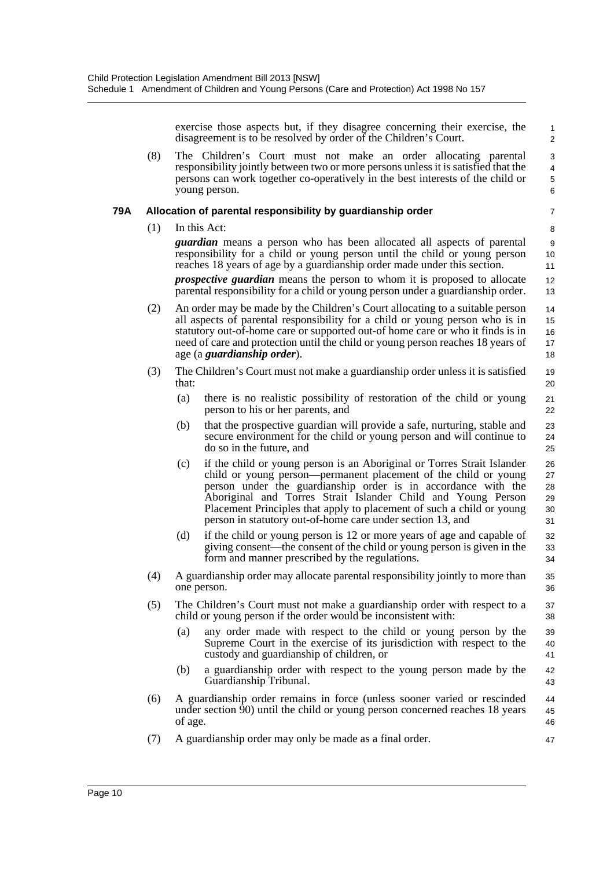exercise those aspects but, if they disagree concerning their exercise, the disagreement is to be resolved by order of the Children's Court.

(8) The Children's Court must not make an order allocating parental responsibility jointly between two or more persons unless it is satisfied that the persons can work together co-operatively in the best interests of the child or young person.

#### **79A Allocation of parental responsibility by guardianship order**

(1) In this Act:

7 8

47

*guardian* means a person who has been allocated all aspects of parental responsibility for a child or young person until the child or young person reaches 18 years of age by a guardianship order made under this section.

*prospective guardian* means the person to whom it is proposed to allocate parental responsibility for a child or young person under a guardianship order.

- (2) An order may be made by the Children's Court allocating to a suitable person all aspects of parental responsibility for a child or young person who is in statutory out-of-home care or supported out-of home care or who it finds is in need of care and protection until the child or young person reaches 18 years of age (a *guardianship order*). 14 15 16 17 18
- (3) The Children's Court must not make a guardianship order unless it is satisfied that: 19 20
	- (a) there is no realistic possibility of restoration of the child or young person to his or her parents, and
	- (b) that the prospective guardian will provide a safe, nurturing, stable and secure environment for the child or young person and will continue to do so in the future, and
	- (c) if the child or young person is an Aboriginal or Torres Strait Islander child or young person—permanent placement of the child or young person under the guardianship order is in accordance with the Aboriginal and Torres Strait Islander Child and Young Person Placement Principles that apply to placement of such a child or young person in statutory out-of-home care under section 13, and 26 27 28 29 30 31
	- (d) if the child or young person is 12 or more years of age and capable of giving consent—the consent of the child or young person is given in the form and manner prescribed by the regulations. 32 33 34
- (4) A guardianship order may allocate parental responsibility jointly to more than one person. 35 36
- (5) The Children's Court must not make a guardianship order with respect to a child or young person if the order would be inconsistent with: 37 38
	- (a) any order made with respect to the child or young person by the Supreme Court in the exercise of its jurisdiction with respect to the custody and guardianship of children, or 39 40 41
	- (b) a guardianship order with respect to the young person made by the Guardianship Tribunal. 42 43
- (6) A guardianship order remains in force (unless sooner varied or rescinded under section 90) until the child or young person concerned reaches 18 years of age.  $\overline{A}$ 45 46
- (7) A guardianship order may only be made as a final order.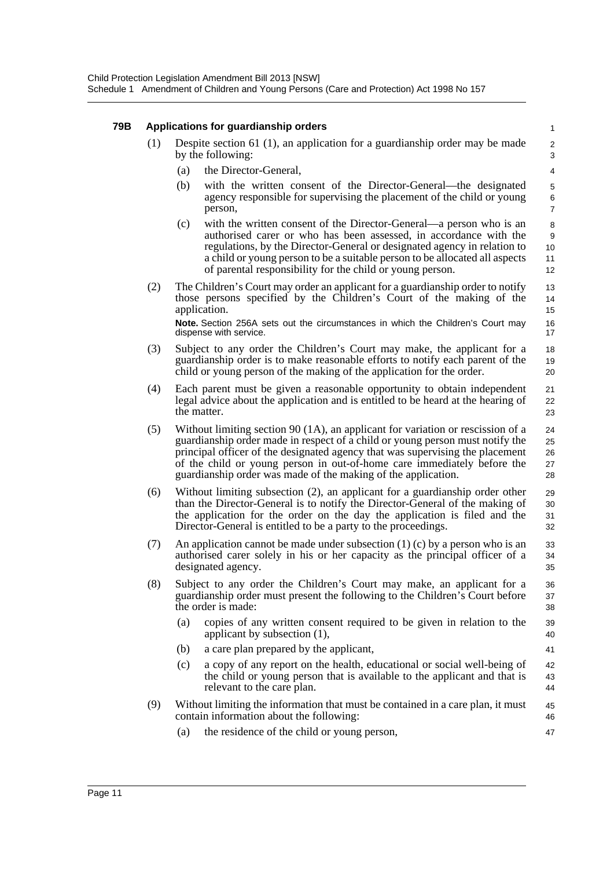#### **79B Applications for guardianship orders**

| (1) | Despite section 61 (1), an application for a guardianship order may be made |
|-----|-----------------------------------------------------------------------------|
|     | by the following:                                                           |

- (a) the Director-General,
- (b) with the written consent of the Director-General—the designated agency responsible for supervising the placement of the child or young person,

41

47

- (c) with the written consent of the Director-General—a person who is an authorised carer or who has been assessed, in accordance with the regulations, by the Director-General or designated agency in relation to a child or young person to be a suitable person to be allocated all aspects of parental responsibility for the child or young person.
- (2) The Children's Court may order an applicant for a guardianship order to notify those persons specified by the Children's Court of the making of the application. **Note.** Section 256A sets out the circumstances in which the Children's Court may dispense with service.
- (3) Subject to any order the Children's Court may make, the applicant for a guardianship order is to make reasonable efforts to notify each parent of the child or young person of the making of the application for the order. 18 19 20
- (4) Each parent must be given a reasonable opportunity to obtain independent legal advice about the application and is entitled to be heard at the hearing of the matter. 21 22 23
- (5) Without limiting section 90 (1A), an applicant for variation or rescission of a guardianship order made in respect of a child or young person must notify the principal officer of the designated agency that was supervising the placement of the child or young person in out-of-home care immediately before the guardianship order was made of the making of the application. 24 25 26 27 28
- (6) Without limiting subsection (2), an applicant for a guardianship order other than the Director-General is to notify the Director-General of the making of the application for the order on the day the application is filed and the Director-General is entitled to be a party to the proceedings. 29 30 31 32
- (7) An application cannot be made under subsection (1) (c) by a person who is an authorised carer solely in his or her capacity as the principal officer of a designated agency. 33 34 35
- (8) Subject to any order the Children's Court may make, an applicant for a guardianship order must present the following to the Children's Court before the order is made: 36 37 38
	- (a) copies of any written consent required to be given in relation to the applicant by subsection (1), 39 40
	- (b) a care plan prepared by the applicant,
	- (c) a copy of any report on the health, educational or social well-being of the child or young person that is available to the applicant and that is relevant to the care plan. 42 43 44
- (9) Without limiting the information that must be contained in a care plan, it must contain information about the following: 45 46
	- (a) the residence of the child or young person,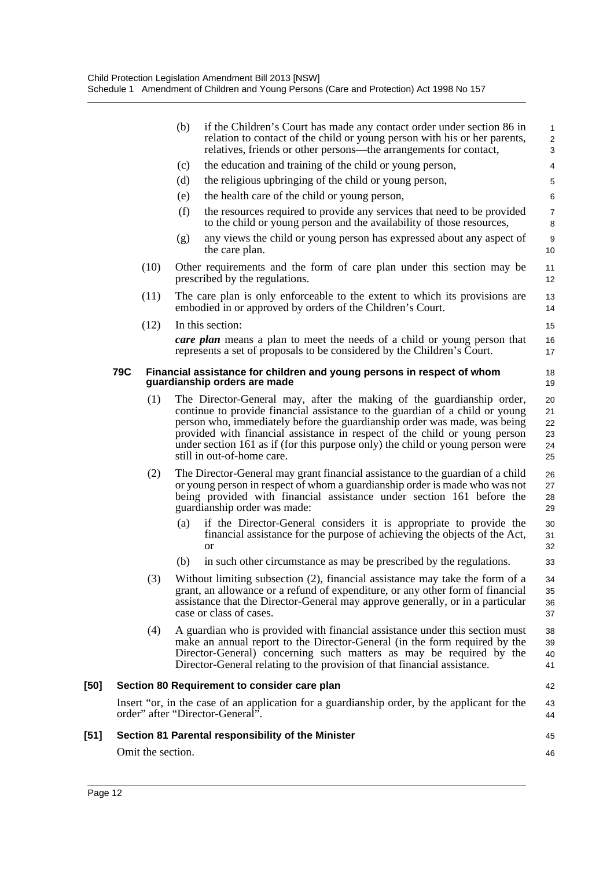|      |                   | (b)<br>if the Children's Court has made any contact order under section 86 in<br>relation to contact of the child or young person with his or her parents,<br>relatives, friends or other persons—the arrangements for contact,                                                                                                                                                                                                  | 1<br>$\overline{\mathbf{c}}$<br>3 |
|------|-------------------|----------------------------------------------------------------------------------------------------------------------------------------------------------------------------------------------------------------------------------------------------------------------------------------------------------------------------------------------------------------------------------------------------------------------------------|-----------------------------------|
|      |                   | the education and training of the child or young person,<br>(c)                                                                                                                                                                                                                                                                                                                                                                  | 4                                 |
|      |                   | (d)<br>the religious upbringing of the child or young person,                                                                                                                                                                                                                                                                                                                                                                    | 5                                 |
|      |                   | (e)<br>the health care of the child or young person,                                                                                                                                                                                                                                                                                                                                                                             | 6                                 |
|      |                   | (f)<br>the resources required to provide any services that need to be provided<br>to the child or young person and the availability of those resources,                                                                                                                                                                                                                                                                          | $\overline{7}$<br>8               |
|      |                   | any views the child or young person has expressed about any aspect of<br>(g)<br>the care plan.                                                                                                                                                                                                                                                                                                                                   | 9<br>10                           |
|      | (10)              | Other requirements and the form of care plan under this section may be<br>prescribed by the regulations.                                                                                                                                                                                                                                                                                                                         | 11<br>12                          |
|      | (11)              | The care plan is only enforceable to the extent to which its provisions are<br>embodied in or approved by orders of the Children's Court.                                                                                                                                                                                                                                                                                        | 13<br>14                          |
|      | (12)              | In this section:                                                                                                                                                                                                                                                                                                                                                                                                                 | 15                                |
|      |                   | <b>care plan</b> means a plan to meet the needs of a child or young person that<br>represents a set of proposals to be considered by the Children's Court.                                                                                                                                                                                                                                                                       | 16<br>17                          |
|      | 79C               | Financial assistance for children and young persons in respect of whom<br>guardianship orders are made                                                                                                                                                                                                                                                                                                                           | 18<br>19                          |
|      | (1)               | The Director-General may, after the making of the guardianship order,<br>continue to provide financial assistance to the guardian of a child or young<br>person who, immediately before the guardianship order was made, was being<br>provided with financial assistance in respect of the child or young person<br>under section 161 as if (for this purpose only) the child or young person were<br>still in out-of-home care. | 20<br>21<br>22<br>23<br>24<br>25  |
|      | (2)               | The Director-General may grant financial assistance to the guardian of a child<br>or young person in respect of whom a guardianship order is made who was not<br>being provided with financial assistance under section 161 before the<br>guardianship order was made:                                                                                                                                                           | 26<br>27<br>28<br>29              |
|      |                   | if the Director-General considers it is appropriate to provide the<br>(a)<br>financial assistance for the purpose of achieving the objects of the Act,<br><sub>or</sub>                                                                                                                                                                                                                                                          | 30<br>31<br>32                    |
|      |                   | (b)<br>in such other circumstance as may be prescribed by the regulations.                                                                                                                                                                                                                                                                                                                                                       | 33                                |
|      | (3)               | Without limiting subsection (2), financial assistance may take the form of a<br>grant, an allowance or a refund of expenditure, or any other form of financial<br>assistance that the Director-General may approve generally, or in a particular<br>case or class of cases.                                                                                                                                                      | 34<br>35<br>36<br>37              |
|      | (4)               | A guardian who is provided with financial assistance under this section must<br>make an annual report to the Director-General (in the form required by the<br>Director-General) concerning such matters as may be required by the<br>Director-General relating to the provision of that financial assistance.                                                                                                                    | 38<br>39<br>40<br>41              |
| [50] |                   | Section 80 Requirement to consider care plan                                                                                                                                                                                                                                                                                                                                                                                     | 42                                |
|      |                   | Insert "or, in the case of an application for a guardianship order, by the applicant for the<br>order" after "Director-General".                                                                                                                                                                                                                                                                                                 | 43<br>44                          |
| [51] |                   | Section 81 Parental responsibility of the Minister                                                                                                                                                                                                                                                                                                                                                                               | 45                                |
|      | Omit the section. |                                                                                                                                                                                                                                                                                                                                                                                                                                  | 46                                |
|      |                   |                                                                                                                                                                                                                                                                                                                                                                                                                                  |                                   |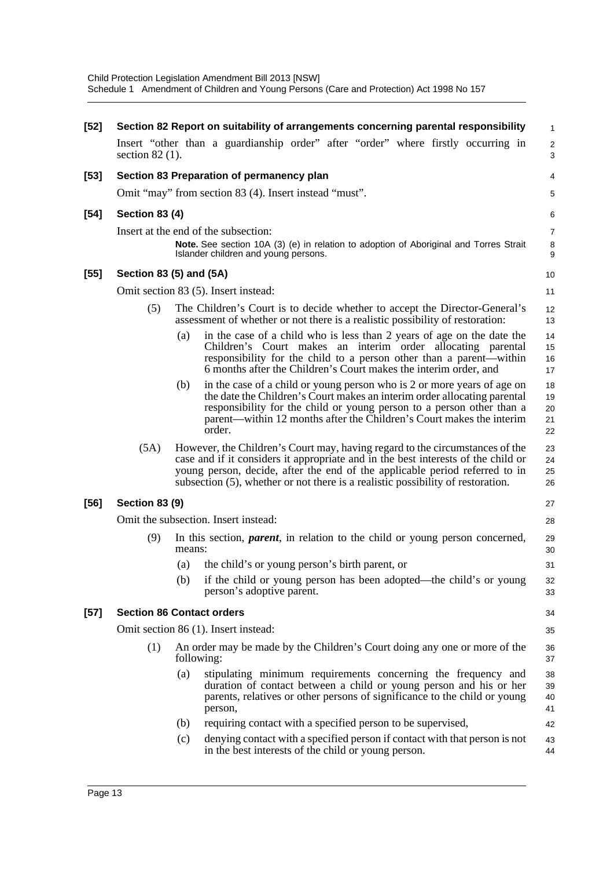| $[52]$ | Section 82 Report on suitability of arrangements concerning parental responsibility<br>1 |            |                                                                                                                                                                                                                                                                                                                                     |                            |  |  |
|--------|------------------------------------------------------------------------------------------|------------|-------------------------------------------------------------------------------------------------------------------------------------------------------------------------------------------------------------------------------------------------------------------------------------------------------------------------------------|----------------------------|--|--|
|        | section $82(1)$ .                                                                        |            | Insert "other than a guardianship order" after "order" where firstly occurring in                                                                                                                                                                                                                                                   | $\frac{2}{3}$              |  |  |
| $[53]$ |                                                                                          |            | Section 83 Preparation of permanency plan                                                                                                                                                                                                                                                                                           | 4                          |  |  |
|        |                                                                                          |            | Omit "may" from section 83 (4). Insert instead "must".                                                                                                                                                                                                                                                                              | 5                          |  |  |
| $[54]$ | <b>Section 83 (4)</b>                                                                    |            |                                                                                                                                                                                                                                                                                                                                     | 6                          |  |  |
|        |                                                                                          |            | Insert at the end of the subsection:                                                                                                                                                                                                                                                                                                | 7                          |  |  |
|        |                                                                                          |            | Note. See section 10A (3) (e) in relation to adoption of Aboriginal and Torres Strait<br>Islander children and young persons.                                                                                                                                                                                                       | 8<br>9                     |  |  |
| $[55]$ | Section 83 (5) and (5A)                                                                  |            |                                                                                                                                                                                                                                                                                                                                     | 10                         |  |  |
|        |                                                                                          |            | Omit section 83 (5). Insert instead:                                                                                                                                                                                                                                                                                                | 11                         |  |  |
|        | (5)                                                                                      |            | The Children's Court is to decide whether to accept the Director-General's<br>assessment of whether or not there is a realistic possibility of restoration:                                                                                                                                                                         | 12<br>13                   |  |  |
|        |                                                                                          | (a)        | in the case of a child who is less than 2 years of age on the date the<br>Children's Court makes an interim order allocating parental<br>responsibility for the child to a person other than a parent—within<br>6 months after the Children's Court makes the interim order, and                                                    | 14<br>15<br>16<br>17       |  |  |
|        |                                                                                          | (b)        | in the case of a child or young person who is 2 or more years of age on<br>the date the Children's Court makes an interim order allocating parental<br>responsibility for the child or young person to a person other than a<br>parent—within 12 months after the Children's Court makes the interim<br>order.                      | 18<br>19<br>20<br>21<br>22 |  |  |
|        | (5A)                                                                                     |            | However, the Children's Court may, having regard to the circumstances of the<br>case and if it considers it appropriate and in the best interests of the child or<br>young person, decide, after the end of the applicable period referred to in<br>subsection (5), whether or not there is a realistic possibility of restoration. | 23<br>24<br>25<br>26       |  |  |
| [56]   | <b>Section 83 (9)</b>                                                                    |            |                                                                                                                                                                                                                                                                                                                                     | 27                         |  |  |
|        | Omit the subsection. Insert instead:<br>28                                               |            |                                                                                                                                                                                                                                                                                                                                     |                            |  |  |
|        | (9)                                                                                      | means:     | In this section, <i>parent</i> , in relation to the child or young person concerned,                                                                                                                                                                                                                                                | 29<br>30                   |  |  |
|        |                                                                                          | (a)        | the child's or young person's birth parent, or                                                                                                                                                                                                                                                                                      | 31                         |  |  |
|        |                                                                                          |            | (b) if the child or young person has been adopted—the child's or young<br>person's adoptive parent.                                                                                                                                                                                                                                 | 32<br>33                   |  |  |
| $[57]$ | <b>Section 86 Contact orders</b>                                                         |            |                                                                                                                                                                                                                                                                                                                                     | 34                         |  |  |
|        |                                                                                          |            | Omit section 86 (1). Insert instead:                                                                                                                                                                                                                                                                                                | 35                         |  |  |
|        | (1)                                                                                      | following: | An order may be made by the Children's Court doing any one or more of the                                                                                                                                                                                                                                                           | 36<br>37                   |  |  |
|        |                                                                                          | (a)        | stipulating minimum requirements concerning the frequency and<br>duration of contact between a child or young person and his or her<br>parents, relatives or other persons of significance to the child or young<br>person,                                                                                                         | 38<br>39<br>40<br>41       |  |  |
|        |                                                                                          | (b)        | requiring contact with a specified person to be supervised,                                                                                                                                                                                                                                                                         | 42                         |  |  |
|        |                                                                                          | (c)        | denying contact with a specified person if contact with that person is not<br>in the best interests of the child or young person.                                                                                                                                                                                                   | 43<br>44                   |  |  |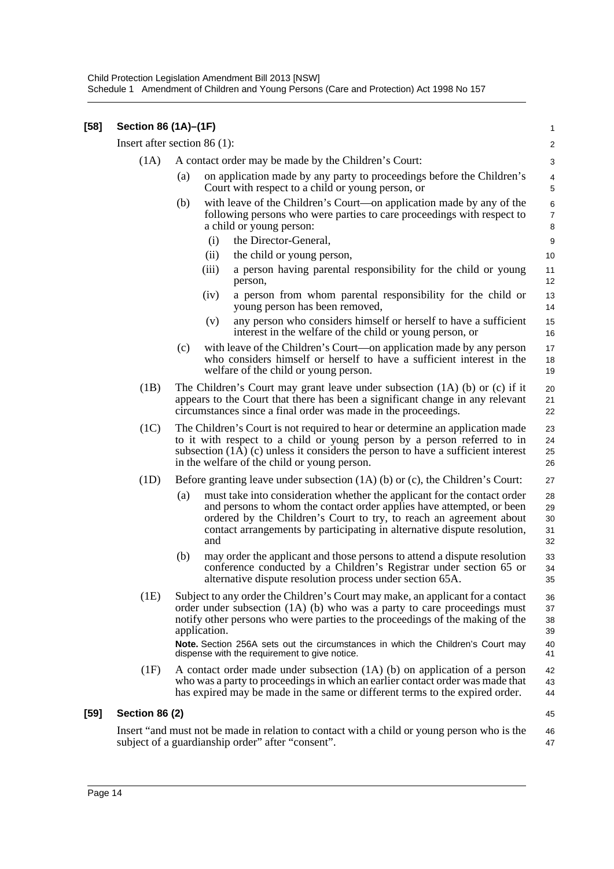| $[58]$ | Section 86 (1A)-(1F)  |                                                                                                                                                                                                                                                                                                                    |                            |  |  |  |  |
|--------|-----------------------|--------------------------------------------------------------------------------------------------------------------------------------------------------------------------------------------------------------------------------------------------------------------------------------------------------------------|----------------------------|--|--|--|--|
|        |                       | Insert after section 86 $(1)$ :                                                                                                                                                                                                                                                                                    | $\overline{\mathbf{c}}$    |  |  |  |  |
|        | (1A)                  | A contact order may be made by the Children's Court:                                                                                                                                                                                                                                                               | 3                          |  |  |  |  |
|        |                       | on application made by any party to proceedings before the Children's<br>(a)<br>Court with respect to a child or young person, or                                                                                                                                                                                  | 4<br>5                     |  |  |  |  |
|        |                       | with leave of the Children's Court-on application made by any of the<br>(b)<br>following persons who were parties to care proceedings with respect to<br>a child or young person:                                                                                                                                  | 6<br>7<br>8                |  |  |  |  |
|        |                       | the Director-General,<br>(i)                                                                                                                                                                                                                                                                                       | 9                          |  |  |  |  |
|        |                       | (ii)<br>the child or young person,                                                                                                                                                                                                                                                                                 | 10                         |  |  |  |  |
|        |                       | (iii)<br>a person having parental responsibility for the child or young<br>person,                                                                                                                                                                                                                                 | 11<br>12                   |  |  |  |  |
|        |                       | a person from whom parental responsibility for the child or<br>(iv)<br>young person has been removed,                                                                                                                                                                                                              | 13<br>14                   |  |  |  |  |
|        |                       | any person who considers himself or herself to have a sufficient<br>(v)<br>interest in the welfare of the child or young person, or                                                                                                                                                                                | 15<br>16                   |  |  |  |  |
|        |                       | with leave of the Children's Court—on application made by any person<br>(c)<br>who considers himself or herself to have a sufficient interest in the<br>welfare of the child or young person.                                                                                                                      | 17<br>18<br>19             |  |  |  |  |
|        | (1B)                  | The Children's Court may grant leave under subsection $(1A)$ (b) or $(c)$ if it<br>appears to the Court that there has been a significant change in any relevant<br>circumstances since a final order was made in the proceedings.                                                                                 | 20<br>21<br>22             |  |  |  |  |
|        | (1C)                  | The Children's Court is not required to hear or determine an application made<br>to it with respect to a child or young person by a person referred to in<br>subsection (1A) (c) unless it considers the person to have a sufficient interest<br>in the welfare of the child or young person.                      | 23<br>24<br>25<br>26       |  |  |  |  |
|        | (1D)                  | Before granting leave under subsection $(1A)$ (b) or (c), the Children's Court:                                                                                                                                                                                                                                    | 27                         |  |  |  |  |
|        |                       | (a)<br>must take into consideration whether the applicant for the contact order<br>and persons to whom the contact order applies have attempted, or been<br>ordered by the Children's Court to try, to reach an agreement about<br>contact arrangements by participating in alternative dispute resolution,<br>and | 28<br>29<br>30<br>31<br>32 |  |  |  |  |
|        |                       | (b)<br>may order the applicant and those persons to attend a dispute resolution<br>conference conducted by a Children's Registrar under section 65 or<br>alternative dispute resolution process under section 65A.                                                                                                 | 33<br>34<br>35             |  |  |  |  |
|        | (1E)                  | Subject to any order the Children's Court may make, an applicant for a contact<br>order under subsection (1A) (b) who was a party to care proceedings must<br>notify other persons who were parties to the proceedings of the making of the<br>application.                                                        | 36<br>37<br>38<br>39       |  |  |  |  |
|        |                       | Note. Section 256A sets out the circumstances in which the Children's Court may<br>dispense with the requirement to give notice.                                                                                                                                                                                   | 40<br>41                   |  |  |  |  |
|        | (1F)                  | A contact order made under subsection (1A) (b) on application of a person<br>who was a party to proceedings in which an earlier contact order was made that<br>has expired may be made in the same or different terms to the expired order.                                                                        | 42<br>43<br>44             |  |  |  |  |
| $[59]$ | <b>Section 86 (2)</b> |                                                                                                                                                                                                                                                                                                                    | 45                         |  |  |  |  |
|        |                       | Insert "and must not be made in relation to contact with a child or young person who is the<br>subject of a guardianship order" after "consent".                                                                                                                                                                   | 46<br>47                   |  |  |  |  |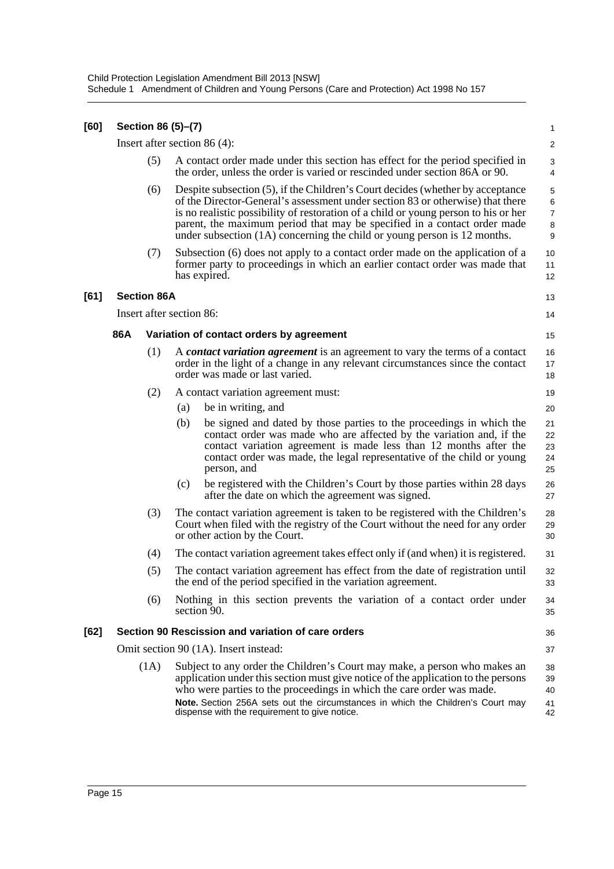| [60] |     | Section 86 (5)-(7)       |     |                                                                                                                                                                                                                                                                                                                                                                                                                   | 1                                  |
|------|-----|--------------------------|-----|-------------------------------------------------------------------------------------------------------------------------------------------------------------------------------------------------------------------------------------------------------------------------------------------------------------------------------------------------------------------------------------------------------------------|------------------------------------|
|      |     |                          |     | Insert after section 86 $(4)$ :                                                                                                                                                                                                                                                                                                                                                                                   | $\overline{2}$                     |
|      |     | (5)                      |     | A contact order made under this section has effect for the period specified in<br>the order, unless the order is varied or rescinded under section 86A or 90.                                                                                                                                                                                                                                                     | 3<br>4                             |
|      |     | (6)                      |     | Despite subsection (5), if the Children's Court decides (whether by acceptance<br>of the Director-General's assessment under section 83 or otherwise) that there<br>is no realistic possibility of restoration of a child or young person to his or her<br>parent, the maximum period that may be specified in a contact order made<br>under subsection $(1A)$ concerning the child or young person is 12 months. | 5<br>6<br>$\overline{7}$<br>8<br>9 |
|      |     | (7)                      |     | Subsection (6) does not apply to a contact order made on the application of a<br>former party to proceedings in which an earlier contact order was made that<br>has expired.                                                                                                                                                                                                                                      | 10<br>11<br>12                     |
| [61] |     | <b>Section 86A</b>       |     |                                                                                                                                                                                                                                                                                                                                                                                                                   | 13                                 |
|      |     | Insert after section 86: |     |                                                                                                                                                                                                                                                                                                                                                                                                                   | 14                                 |
|      | 86A |                          |     | Variation of contact orders by agreement                                                                                                                                                                                                                                                                                                                                                                          | 15                                 |
|      |     | (1)                      |     | A contact variation agreement is an agreement to vary the terms of a contact<br>order in the light of a change in any relevant circumstances since the contact<br>order was made or last varied.                                                                                                                                                                                                                  | 16<br>17<br>18                     |
|      |     | (2)                      |     | A contact variation agreement must:                                                                                                                                                                                                                                                                                                                                                                               | 19                                 |
|      |     |                          | (a) | be in writing, and                                                                                                                                                                                                                                                                                                                                                                                                | 20                                 |
|      |     |                          | (b) | be signed and dated by those parties to the proceedings in which the<br>contact order was made who are affected by the variation and, if the<br>contact variation agreement is made less than 12 months after the<br>contact order was made, the legal representative of the child or young<br>person, and                                                                                                        | 21<br>22<br>23<br>24<br>25         |
|      |     |                          | (c) | be registered with the Children's Court by those parties within 28 days<br>after the date on which the agreement was signed.                                                                                                                                                                                                                                                                                      | 26<br>27                           |
|      |     | (3)                      |     | The contact variation agreement is taken to be registered with the Children's<br>Court when filed with the registry of the Court without the need for any order<br>or other action by the Court.                                                                                                                                                                                                                  | 28<br>29<br>30                     |
|      |     | (4)                      |     | The contact variation agreement takes effect only if (and when) it is registered.                                                                                                                                                                                                                                                                                                                                 | 31                                 |
|      |     | (5)                      |     | The contact variation agreement has effect from the date of registration until<br>the end of the period specified in the variation agreement.                                                                                                                                                                                                                                                                     | 32<br>33                           |
|      |     | (6)                      |     | Nothing in this section prevents the variation of a contact order under<br>section 90.                                                                                                                                                                                                                                                                                                                            | 34<br>35                           |
| [62] |     |                          |     | Section 90 Rescission and variation of care orders                                                                                                                                                                                                                                                                                                                                                                | 36                                 |
|      |     |                          |     | Omit section 90 (1A). Insert instead:                                                                                                                                                                                                                                                                                                                                                                             | 37                                 |
|      |     | (1A)                     |     | Subject to any order the Children's Court may make, a person who makes an<br>application under this section must give notice of the application to the persons<br>who were parties to the proceedings in which the care order was made.<br>Note. Section 256A sets out the circumstances in which the Children's Court may                                                                                        | 38<br>39<br>40<br>41               |
|      |     |                          |     | dispense with the requirement to give notice.                                                                                                                                                                                                                                                                                                                                                                     | 42                                 |
|      |     |                          |     |                                                                                                                                                                                                                                                                                                                                                                                                                   |                                    |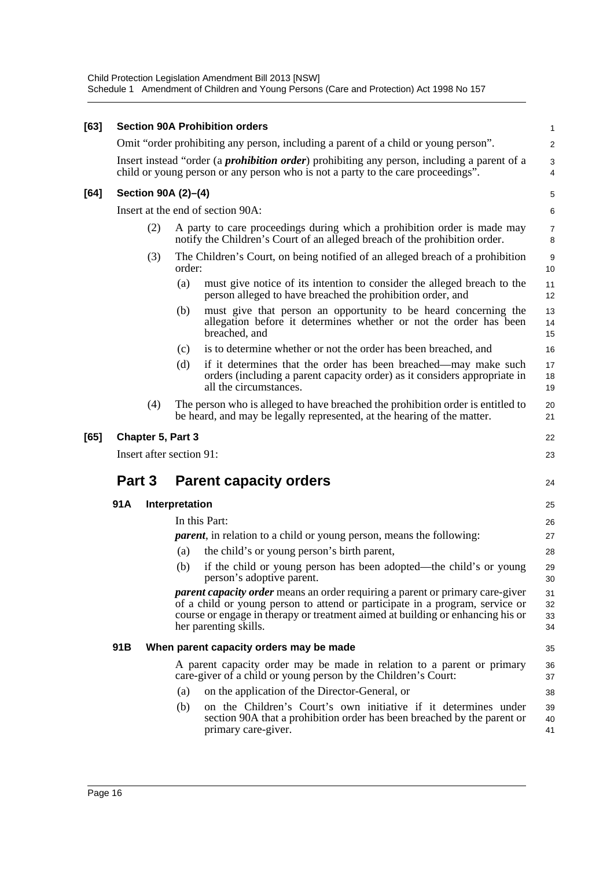| [63] | <b>Section 90A Prohibition orders</b>   |     |                |                                                                                                                                                                                                                                                                                 |                      |
|------|-----------------------------------------|-----|----------------|---------------------------------------------------------------------------------------------------------------------------------------------------------------------------------------------------------------------------------------------------------------------------------|----------------------|
|      |                                         |     |                | Omit "order prohibiting any person, including a parent of a child or young person".                                                                                                                                                                                             | $\overline{a}$       |
|      |                                         |     |                | Insert instead "order (a <i>prohibition order</i> ) prohibiting any person, including a parent of a<br>child or young person or any person who is not a party to the care proceedings".                                                                                         | 3<br>4               |
| [64] | Section 90A (2)-(4)                     |     |                |                                                                                                                                                                                                                                                                                 | 5                    |
|      |                                         |     |                | Insert at the end of section 90A:                                                                                                                                                                                                                                               | 6                    |
|      |                                         | (2) |                | A party to care proceedings during which a prohibition order is made may<br>notify the Children's Court of an alleged breach of the prohibition order.                                                                                                                          | 7<br>8               |
|      |                                         | (3) | order:         | The Children's Court, on being notified of an alleged breach of a prohibition                                                                                                                                                                                                   | 9<br>10              |
|      |                                         |     | (a)            | must give notice of its intention to consider the alleged breach to the<br>person alleged to have breached the prohibition order, and                                                                                                                                           | 11<br>12             |
|      |                                         |     | (b)            | must give that person an opportunity to be heard concerning the<br>allegation before it determines whether or not the order has been<br>breached, and                                                                                                                           | 13<br>14<br>15       |
|      |                                         |     | (c)            | is to determine whether or not the order has been breached, and                                                                                                                                                                                                                 | 16                   |
|      |                                         |     | (d)            | if it determines that the order has been breached—may make such<br>orders (including a parent capacity order) as it considers appropriate in<br>all the circumstances.                                                                                                          | 17<br>18<br>19       |
|      |                                         | (4) |                | The person who is alleged to have breached the prohibition order is entitled to<br>be heard, and may be legally represented, at the hearing of the matter.                                                                                                                      | 20<br>21             |
| [65] | Chapter 5, Part 3                       |     |                |                                                                                                                                                                                                                                                                                 |                      |
|      | Insert after section 91:                |     |                |                                                                                                                                                                                                                                                                                 | 23                   |
|      | Part 3<br><b>Parent capacity orders</b> |     |                |                                                                                                                                                                                                                                                                                 | 24                   |
|      |                                         |     |                |                                                                                                                                                                                                                                                                                 |                      |
|      | 91A                                     |     | Interpretation |                                                                                                                                                                                                                                                                                 | 25                   |
|      |                                         |     |                | In this Part:                                                                                                                                                                                                                                                                   | 26                   |
|      |                                         |     |                | <i>parent</i> , in relation to a child or young person, means the following:                                                                                                                                                                                                    | 27                   |
|      |                                         |     | (a)            | the child's or young person's birth parent,                                                                                                                                                                                                                                     | 28                   |
|      |                                         |     | (b)            | if the child or young person has been adopted—the child's or young<br>person's adoptive parent.                                                                                                                                                                                 | 29<br>30             |
|      |                                         |     |                | <i>parent capacity order</i> means an order requiring a parent or primary care-giver<br>of a child or young person to attend or participate in a program, service or<br>course or engage in therapy or treatment aimed at building or enhancing his or<br>her parenting skills. | 31<br>32<br>33<br>34 |
|      | 91B                                     |     |                | When parent capacity orders may be made                                                                                                                                                                                                                                         | 35                   |
|      |                                         |     |                | A parent capacity order may be made in relation to a parent or primary<br>care-giver of a child or young person by the Children's Court:                                                                                                                                        | 36<br>37             |
|      |                                         |     | (a)            | on the application of the Director-General, or                                                                                                                                                                                                                                  | 38                   |
|      |                                         |     | (b)            | on the Children's Court's own initiative if it determines under<br>section 90A that a prohibition order has been breached by the parent or<br>primary care-giver.                                                                                                               | 39<br>40<br>41       |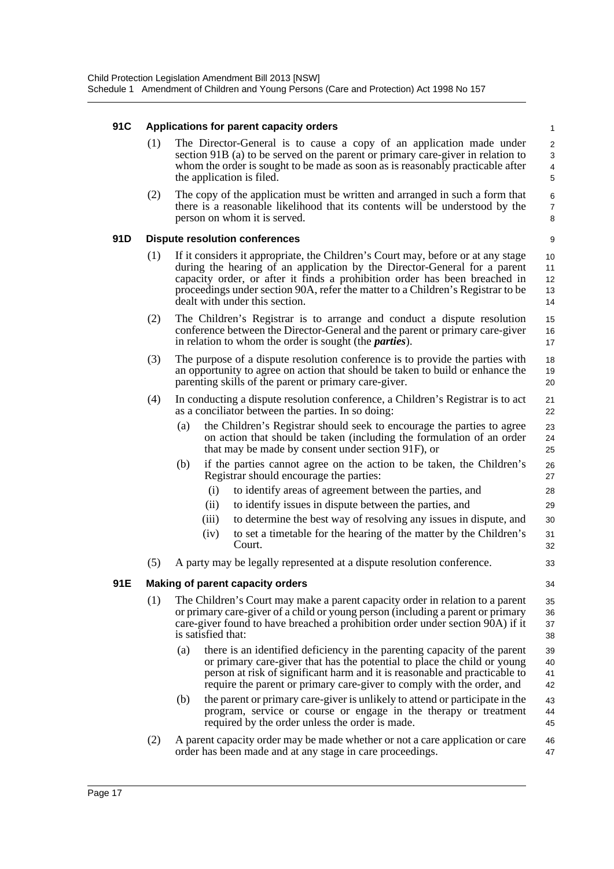#### **91C Applications for parent capacity orders**

(1) The Director-General is to cause a copy of an application made under section 91B (a) to be served on the parent or primary care-giver in relation to whom the order is sought to be made as soon as is reasonably practicable after the application is filed.

33 34

(2) The copy of the application must be written and arranged in such a form that there is a reasonable likelihood that its contents will be understood by the person on whom it is served.

#### **91D Dispute resolution conferences**

- (1) If it considers it appropriate, the Children's Court may, before or at any stage during the hearing of an application by the Director-General for a parent capacity order, or after it finds a prohibition order has been breached in proceedings under section 90A, refer the matter to a Children's Registrar to be dealt with under this section.
- (2) The Children's Registrar is to arrange and conduct a dispute resolution conference between the Director-General and the parent or primary care-giver in relation to whom the order is sought (the *parties*). 15 16 17
- (3) The purpose of a dispute resolution conference is to provide the parties with an opportunity to agree on action that should be taken to build or enhance the parenting skills of the parent or primary care-giver. 18 19  $20$
- (4) In conducting a dispute resolution conference, a Children's Registrar is to act as a conciliator between the parties. In so doing:
	- (a) the Children's Registrar should seek to encourage the parties to agree on action that should be taken (including the formulation of an order that may be made by consent under section 91F), or
	- (b) if the parties cannot agree on the action to be taken, the Children's Registrar should encourage the parties:
		- (i) to identify areas of agreement between the parties, and
		- (ii) to identify issues in dispute between the parties, and
		- (iii) to determine the best way of resolving any issues in dispute, and
		- (iv) to set a timetable for the hearing of the matter by the Children's Court. 31 32
- (5) A party may be legally represented at a dispute resolution conference.

#### **91E Making of parent capacity orders**

- (1) The Children's Court may make a parent capacity order in relation to a parent or primary care-giver of a child or young person (including a parent or primary care-giver found to have breached a prohibition order under section 90A) if it is satisfied that: 35 36 37 38
	- (a) there is an identified deficiency in the parenting capacity of the parent or primary care-giver that has the potential to place the child or young person at risk of significant harm and it is reasonable and practicable to require the parent or primary care-giver to comply with the order, and 39 40 41 42
	- (b) the parent or primary care-giver is unlikely to attend or participate in the program, service or course or engage in the therapy or treatment required by the order unless the order is made. 43 44 45
- (2) A parent capacity order may be made whether or not a care application or care order has been made and at any stage in care proceedings. 46 47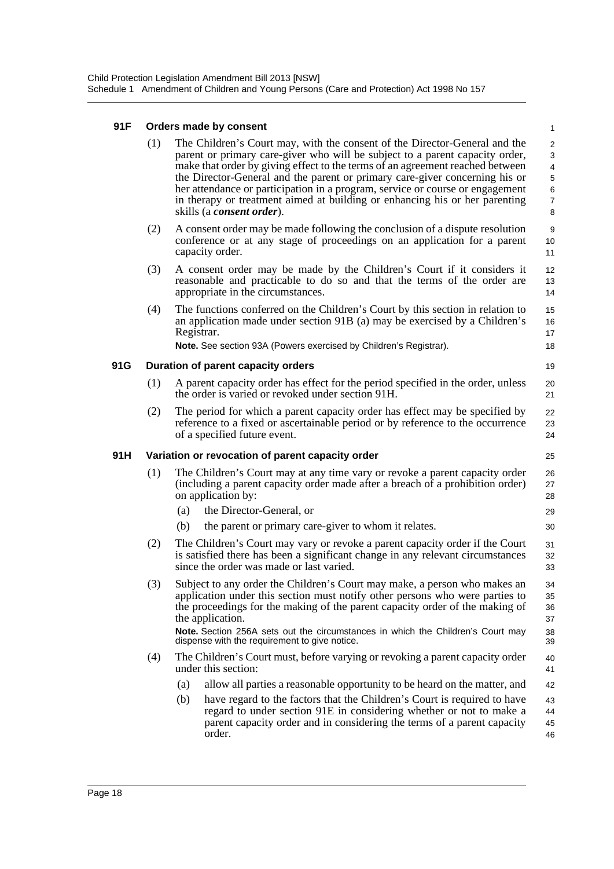#### **91F Orders made by consent**

| 91 F | Orders made by consent |     |                                                                                                                                                                                                                                                                                                                                                                                                                                                                                                                                 |                                                                                   |  |  |  |  |
|------|------------------------|-----|---------------------------------------------------------------------------------------------------------------------------------------------------------------------------------------------------------------------------------------------------------------------------------------------------------------------------------------------------------------------------------------------------------------------------------------------------------------------------------------------------------------------------------|-----------------------------------------------------------------------------------|--|--|--|--|
|      | (1)                    |     | The Children's Court may, with the consent of the Director-General and the<br>parent or primary care-giver who will be subject to a parent capacity order,<br>make that order by giving effect to the terms of an agreement reached between<br>the Director-General and the parent or primary care-giver concerning his or<br>her attendance or participation in a program, service or course or engagement<br>in therapy or treatment aimed at building or enhancing his or her parenting<br>skills (a <i>consent order</i> ). | $\overline{2}$<br>$\mathbf{3}$<br>$\overline{4}$<br>5<br>6<br>$\overline{7}$<br>8 |  |  |  |  |
|      | (2)                    |     | A consent order may be made following the conclusion of a dispute resolution<br>conference or at any stage of proceedings on an application for a parent<br>capacity order.                                                                                                                                                                                                                                                                                                                                                     | 9<br>10<br>11                                                                     |  |  |  |  |
|      | (3)                    |     | A consent order may be made by the Children's Court if it considers it<br>reasonable and practicable to do so and that the terms of the order are<br>appropriate in the circumstances.                                                                                                                                                                                                                                                                                                                                          | 12<br>13<br>14                                                                    |  |  |  |  |
|      | (4)                    |     | The functions conferred on the Children's Court by this section in relation to<br>an application made under section 91B (a) may be exercised by a Children's<br>Registrar.<br>Note. See section 93A (Powers exercised by Children's Registrar).                                                                                                                                                                                                                                                                                 | 15<br>16<br>17<br>18                                                              |  |  |  |  |
| 91G  |                        |     | Duration of parent capacity orders                                                                                                                                                                                                                                                                                                                                                                                                                                                                                              | 19                                                                                |  |  |  |  |
|      | (1)                    |     | A parent capacity order has effect for the period specified in the order, unless<br>the order is varied or revoked under section 91H.                                                                                                                                                                                                                                                                                                                                                                                           | 20<br>21                                                                          |  |  |  |  |
|      | (2)                    |     | The period for which a parent capacity order has effect may be specified by<br>reference to a fixed or ascertainable period or by reference to the occurrence<br>of a specified future event.                                                                                                                                                                                                                                                                                                                                   | 22<br>23<br>24                                                                    |  |  |  |  |
| 91H  |                        |     | Variation or revocation of parent capacity order                                                                                                                                                                                                                                                                                                                                                                                                                                                                                | 25                                                                                |  |  |  |  |
|      | (1)                    |     | The Children's Court may at any time vary or revoke a parent capacity order<br>(including a parent capacity order made after a breach of a prohibition order)<br>on application by:                                                                                                                                                                                                                                                                                                                                             |                                                                                   |  |  |  |  |
|      |                        | (a) | the Director-General, or                                                                                                                                                                                                                                                                                                                                                                                                                                                                                                        | 29                                                                                |  |  |  |  |
|      |                        | (b) | the parent or primary care-giver to whom it relates.                                                                                                                                                                                                                                                                                                                                                                                                                                                                            | 30                                                                                |  |  |  |  |
|      | (2)                    |     | The Children's Court may vary or revoke a parent capacity order if the Court<br>is satisfied there has been a significant change in any relevant circumstances<br>since the order was made or last varied.                                                                                                                                                                                                                                                                                                                      | 31<br>32<br>33                                                                    |  |  |  |  |
|      | (3)                    |     | Subject to any order the Children's Court may make, a person who makes an<br>application under this section must notify other persons who were parties to<br>the proceedings for the making of the parent capacity order of the making of<br>the application.<br>Note. Section 256A sets out the circumstances in which the Children's Court may<br>dispense with the requirement to give notice.                                                                                                                               | 34<br>35<br>36<br>37<br>38<br>39                                                  |  |  |  |  |
|      | (4)                    |     | The Children's Court must, before varying or revoking a parent capacity order                                                                                                                                                                                                                                                                                                                                                                                                                                                   | 40                                                                                |  |  |  |  |
|      |                        |     | under this section:                                                                                                                                                                                                                                                                                                                                                                                                                                                                                                             | 41                                                                                |  |  |  |  |
|      |                        | (a) | allow all parties a reasonable opportunity to be heard on the matter, and                                                                                                                                                                                                                                                                                                                                                                                                                                                       | 42                                                                                |  |  |  |  |
|      |                        | (b) | have regard to the factors that the Children's Court is required to have<br>regard to under section 91E in considering whether or not to make a<br>parent capacity order and in considering the terms of a parent capacity<br>order.                                                                                                                                                                                                                                                                                            | 43<br>44<br>45<br>46                                                              |  |  |  |  |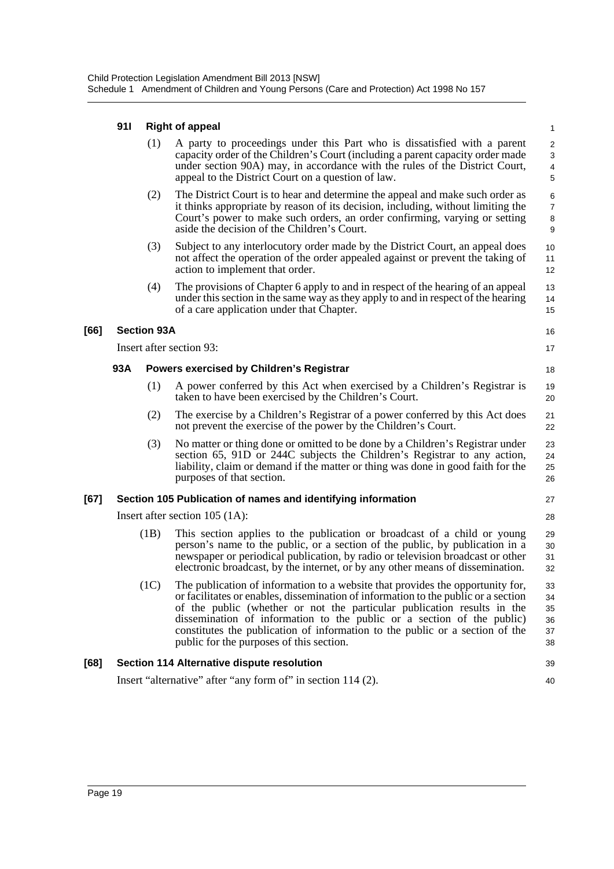#### **91I Right of appeal**

|      | 91 I | <b>Right of appeal</b><br>$\mathbf{1}$ |                                                                                                                                                                                                                                                                                                                                                                                                                                                       |                                                                        |  |  |  |
|------|------|----------------------------------------|-------------------------------------------------------------------------------------------------------------------------------------------------------------------------------------------------------------------------------------------------------------------------------------------------------------------------------------------------------------------------------------------------------------------------------------------------------|------------------------------------------------------------------------|--|--|--|
|      |      | (1)                                    | A party to proceedings under this Part who is dissatisfied with a parent<br>capacity order of the Children's Court (including a parent capacity order made<br>under section 90A) may, in accordance with the rules of the District Court,<br>appeal to the District Court on a question of law.                                                                                                                                                       | $\overline{c}$<br>$\sqrt{3}$<br>$\overline{\mathbf{4}}$<br>$\mathbf 5$ |  |  |  |
|      |      | (2)                                    | The District Court is to hear and determine the appeal and make such order as<br>it thinks appropriate by reason of its decision, including, without limiting the<br>Court's power to make such orders, an order confirming, varying or setting<br>aside the decision of the Children's Court.                                                                                                                                                        | 6<br>$\overline{7}$<br>$\bf 8$<br>9                                    |  |  |  |
|      |      | (3)                                    | Subject to any interlocutory order made by the District Court, an appeal does<br>not affect the operation of the order appealed against or prevent the taking of<br>action to implement that order.                                                                                                                                                                                                                                                   | 10<br>11<br>12                                                         |  |  |  |
|      |      | (4)                                    | The provisions of Chapter 6 apply to and in respect of the hearing of an appeal<br>under this section in the same way as they apply to and in respect of the hearing<br>of a care application under that Chapter.                                                                                                                                                                                                                                     | 13<br>14<br>15                                                         |  |  |  |
| [66] |      | <b>Section 93A</b>                     |                                                                                                                                                                                                                                                                                                                                                                                                                                                       | 16                                                                     |  |  |  |
|      |      |                                        | Insert after section 93:                                                                                                                                                                                                                                                                                                                                                                                                                              | 17                                                                     |  |  |  |
|      | 93A  |                                        | <b>Powers exercised by Children's Registrar</b>                                                                                                                                                                                                                                                                                                                                                                                                       | 18                                                                     |  |  |  |
|      |      | (1)                                    | A power conferred by this Act when exercised by a Children's Registrar is<br>taken to have been exercised by the Children's Court.                                                                                                                                                                                                                                                                                                                    | 19<br>20                                                               |  |  |  |
|      |      | (2)                                    | The exercise by a Children's Registrar of a power conferred by this Act does<br>not prevent the exercise of the power by the Children's Court.                                                                                                                                                                                                                                                                                                        | 21<br>22                                                               |  |  |  |
|      |      | (3)                                    | No matter or thing done or omitted to be done by a Children's Registrar under<br>section 65, 91D or 244C subjects the Children's Registrar to any action,<br>liability, claim or demand if the matter or thing was done in good faith for the<br>purposes of that section.                                                                                                                                                                            | 23<br>24<br>25<br>26                                                   |  |  |  |
| [67] |      |                                        | Section 105 Publication of names and identifying information                                                                                                                                                                                                                                                                                                                                                                                          | 27                                                                     |  |  |  |
|      |      |                                        | Insert after section $105 (1A)$ :                                                                                                                                                                                                                                                                                                                                                                                                                     | 28                                                                     |  |  |  |
|      | (1B) |                                        | This section applies to the publication or broadcast of a child or young<br>person's name to the public, or a section of the public, by publication in a<br>newspaper or periodical publication, by radio or television broadcast or other<br>electronic broadcast, by the internet, or by any other means of dissemination.                                                                                                                          | 29<br>30<br>31<br>32                                                   |  |  |  |
|      |      | (1C)                                   | The publication of information to a website that provides the opportunity for,<br>or facilitates or enables, dissemination of information to the public or a section<br>of the public (whether or not the particular publication results in the<br>dissemination of information to the public or a section of the public)<br>constitutes the publication of information to the public or a section of the<br>public for the purposes of this section. | 33<br>34<br>35<br>36<br>37<br>38                                       |  |  |  |
| [68] |      |                                        | Section 114 Alternative dispute resolution                                                                                                                                                                                                                                                                                                                                                                                                            | 39                                                                     |  |  |  |
|      |      |                                        | Insert "alternative" after "any form of" in section 114 (2).                                                                                                                                                                                                                                                                                                                                                                                          | 40                                                                     |  |  |  |

**[66]**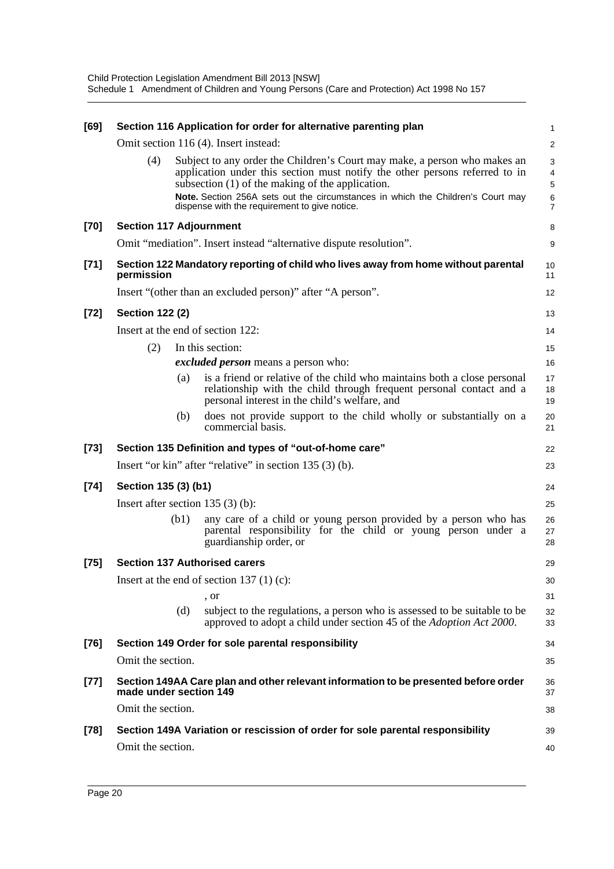| [69]   |                                |      | Section 116 Application for order for alternative parenting plan                                                                                                                                                                                                                                                                                 | 1                            |
|--------|--------------------------------|------|--------------------------------------------------------------------------------------------------------------------------------------------------------------------------------------------------------------------------------------------------------------------------------------------------------------------------------------------------|------------------------------|
|        |                                |      | Omit section 116 (4). Insert instead:                                                                                                                                                                                                                                                                                                            | $\overline{\mathbf{c}}$      |
|        | (4)                            |      | Subject to any order the Children's Court may make, a person who makes an<br>application under this section must notify the other persons referred to in<br>subsection (1) of the making of the application.<br>Note. Section 256A sets out the circumstances in which the Children's Court may<br>dispense with the requirement to give notice. | 3<br>4<br>5<br>$\frac{6}{7}$ |
| [70]   | <b>Section 117 Adjournment</b> |      |                                                                                                                                                                                                                                                                                                                                                  | 8                            |
|        |                                |      | Omit "mediation". Insert instead "alternative dispute resolution".                                                                                                                                                                                                                                                                               | 9                            |
| $[71]$ | permission                     |      | Section 122 Mandatory reporting of child who lives away from home without parental                                                                                                                                                                                                                                                               | 10<br>11                     |
|        |                                |      | Insert "(other than an excluded person)" after "A person".                                                                                                                                                                                                                                                                                       | 12                           |
| $[72]$ | <b>Section 122 (2)</b>         |      |                                                                                                                                                                                                                                                                                                                                                  | 13                           |
|        |                                |      | Insert at the end of section 122:                                                                                                                                                                                                                                                                                                                | 14                           |
|        | (2)                            |      | In this section:                                                                                                                                                                                                                                                                                                                                 | 15                           |
|        |                                |      | <i>excluded person</i> means a person who:                                                                                                                                                                                                                                                                                                       | 16                           |
|        |                                | (a)  | is a friend or relative of the child who maintains both a close personal<br>relationship with the child through frequent personal contact and a<br>personal interest in the child's welfare, and                                                                                                                                                 | 17<br>18<br>19               |
|        |                                | (b)  | does not provide support to the child wholly or substantially on a<br>commercial basis.                                                                                                                                                                                                                                                          | 20<br>21                     |
| $[73]$ |                                |      | Section 135 Definition and types of "out-of-home care"                                                                                                                                                                                                                                                                                           | 22                           |
|        |                                |      | Insert "or kin" after "relative" in section 135 (3) (b).                                                                                                                                                                                                                                                                                         | 23                           |
| $[74]$ | Section 135 (3) (b1)           |      |                                                                                                                                                                                                                                                                                                                                                  | 24                           |
|        |                                |      | Insert after section $135(3)(b)$ :                                                                                                                                                                                                                                                                                                               | 25                           |
|        |                                | (b1) | any care of a child or young person provided by a person who has<br>parental responsibility for the child or young person under a<br>guardianship order, or                                                                                                                                                                                      | 26<br>27<br>28               |
| $[75]$ |                                |      | <b>Section 137 Authorised carers</b>                                                                                                                                                                                                                                                                                                             | 29                           |
|        |                                |      | Insert at the end of section 137 $(1)(c)$ :                                                                                                                                                                                                                                                                                                      | 30                           |
|        |                                |      | , or                                                                                                                                                                                                                                                                                                                                             | 31                           |
|        |                                | (d)  | subject to the regulations, a person who is assessed to be suitable to be<br>approved to adopt a child under section 45 of the <i>Adoption Act 2000</i> .                                                                                                                                                                                        | 32<br>33                     |
| $[76]$ |                                |      | Section 149 Order for sole parental responsibility                                                                                                                                                                                                                                                                                               | 34                           |
|        | Omit the section.              |      |                                                                                                                                                                                                                                                                                                                                                  | 35                           |
| $[77]$ | made under section 149         |      | Section 149AA Care plan and other relevant information to be presented before order                                                                                                                                                                                                                                                              | 36<br>37                     |
|        | Omit the section.              |      |                                                                                                                                                                                                                                                                                                                                                  | 38                           |
| $[78]$ |                                |      | Section 149A Variation or rescission of order for sole parental responsibility                                                                                                                                                                                                                                                                   | 39                           |
|        | Omit the section.              |      |                                                                                                                                                                                                                                                                                                                                                  | 40                           |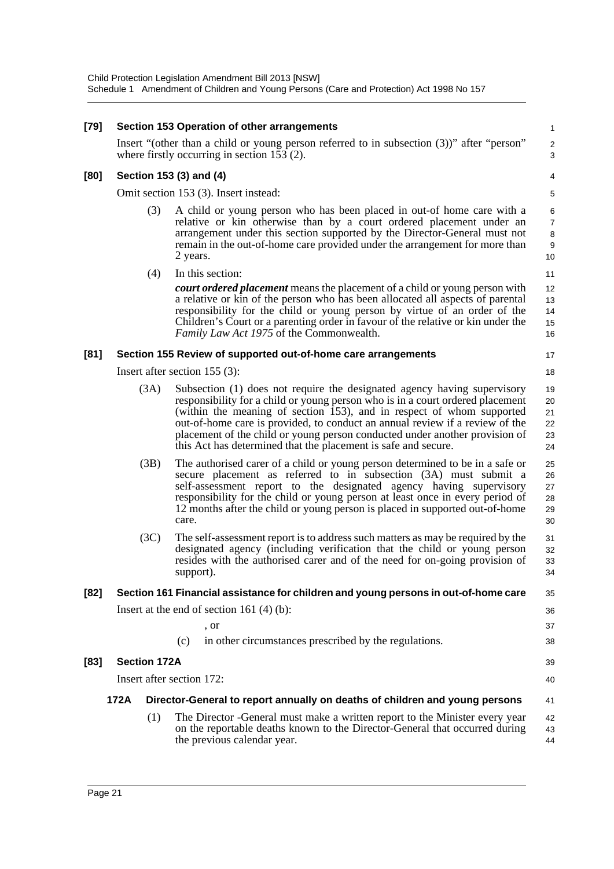| [79] |                                                                                                                                             |                     | Section 153 Operation of other arrangements                                                                                                                                                                                                                                                                                                                                                                                                                          | 1                                |  |  |  |
|------|---------------------------------------------------------------------------------------------------------------------------------------------|---------------------|----------------------------------------------------------------------------------------------------------------------------------------------------------------------------------------------------------------------------------------------------------------------------------------------------------------------------------------------------------------------------------------------------------------------------------------------------------------------|----------------------------------|--|--|--|
|      | Insert "(other than a child or young person referred to in subsection (3))" after "person"<br>where firstly occurring in section $153(2)$ . |                     |                                                                                                                                                                                                                                                                                                                                                                                                                                                                      |                                  |  |  |  |
| [80] |                                                                                                                                             |                     | Section 153 (3) and (4)                                                                                                                                                                                                                                                                                                                                                                                                                                              | 4                                |  |  |  |
|      |                                                                                                                                             |                     | Omit section 153 (3). Insert instead:                                                                                                                                                                                                                                                                                                                                                                                                                                | 5                                |  |  |  |
|      |                                                                                                                                             | (3)                 | A child or young person who has been placed in out-of home care with a<br>relative or kin otherwise than by a court ordered placement under an<br>arrangement under this section supported by the Director-General must not<br>remain in the out-of-home care provided under the arrangement for more than<br>2 years.                                                                                                                                               | 6<br>7<br>8<br>9<br>10           |  |  |  |
|      |                                                                                                                                             | (4)                 | In this section:                                                                                                                                                                                                                                                                                                                                                                                                                                                     | 11                               |  |  |  |
|      |                                                                                                                                             |                     | <b><i>court ordered placement</i></b> means the placement of a child or young person with<br>a relative or kin of the person who has been allocated all aspects of parental<br>responsibility for the child or young person by virtue of an order of the<br>Children's Court or a parenting order in favour of the relative or kin under the<br>Family Law Act 1975 of the Commonwealth.                                                                             | 12<br>13<br>14<br>15<br>16       |  |  |  |
| [81] |                                                                                                                                             |                     | Section 155 Review of supported out-of-home care arrangements                                                                                                                                                                                                                                                                                                                                                                                                        | 17                               |  |  |  |
|      |                                                                                                                                             |                     | Insert after section $155$ (3):<br>18                                                                                                                                                                                                                                                                                                                                                                                                                                |                                  |  |  |  |
|      |                                                                                                                                             | (3A)                | Subsection (1) does not require the designated agency having supervisory<br>responsibility for a child or young person who is in a court ordered placement<br>(within the meaning of section 153), and in respect of whom supported<br>out-of-home care is provided, to conduct an annual review if a review of the<br>placement of the child or young person conducted under another provision of<br>this Act has determined that the placement is safe and secure. | 19<br>20<br>21<br>22<br>23<br>24 |  |  |  |
|      |                                                                                                                                             | (3B)                | The authorised carer of a child or young person determined to be in a safe or<br>secure placement as referred to in subsection (3A) must submit a<br>self-assessment report to the designated agency having supervisory<br>responsibility for the child or young person at least once in every period of<br>12 months after the child or young person is placed in supported out-of-home<br>care.                                                                    | 25<br>26<br>27<br>28<br>29<br>30 |  |  |  |
|      |                                                                                                                                             | (3C)                | The self-assessment report is to address such matters as may be required by the<br>designated agency (including verification that the child or young person<br>resides with the authorised carer and of the need for on-going provision of<br>support).                                                                                                                                                                                                              | 31<br>32<br>33<br>34             |  |  |  |
| [82] |                                                                                                                                             |                     | Section 161 Financial assistance for children and young persons in out-of-home care                                                                                                                                                                                                                                                                                                                                                                                  | 35                               |  |  |  |
|      |                                                                                                                                             |                     | Insert at the end of section 161 $(4)$ $(b)$ :                                                                                                                                                                                                                                                                                                                                                                                                                       | 36                               |  |  |  |
|      |                                                                                                                                             |                     | , or                                                                                                                                                                                                                                                                                                                                                                                                                                                                 | 37                               |  |  |  |
|      |                                                                                                                                             |                     | in other circumstances prescribed by the regulations.<br>(c)                                                                                                                                                                                                                                                                                                                                                                                                         | 38                               |  |  |  |
| [83] |                                                                                                                                             | <b>Section 172A</b> |                                                                                                                                                                                                                                                                                                                                                                                                                                                                      | 39                               |  |  |  |
|      |                                                                                                                                             |                     | Insert after section 172:                                                                                                                                                                                                                                                                                                                                                                                                                                            | 40                               |  |  |  |
|      | 172A                                                                                                                                        |                     | Director-General to report annually on deaths of children and young persons                                                                                                                                                                                                                                                                                                                                                                                          | 41                               |  |  |  |
|      |                                                                                                                                             | (1)                 | The Director - General must make a written report to the Minister every year<br>on the reportable deaths known to the Director-General that occurred during<br>the previous calendar year.                                                                                                                                                                                                                                                                           | 42<br>43<br>44                   |  |  |  |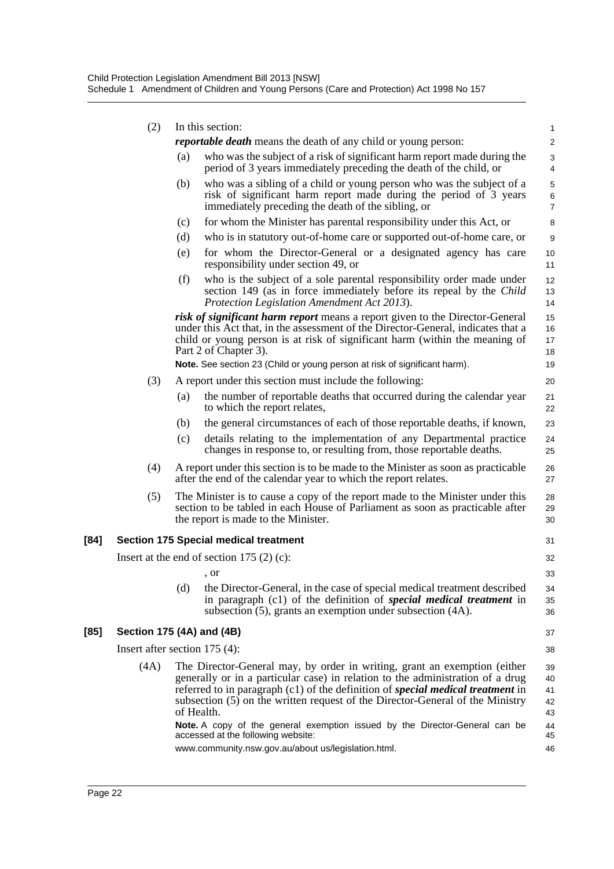|        | (2)                             | In this section: |                                                                                                                                                                                                                                                                          |                              |  |
|--------|---------------------------------|------------------|--------------------------------------------------------------------------------------------------------------------------------------------------------------------------------------------------------------------------------------------------------------------------|------------------------------|--|
|        |                                 |                  | <i>reportable death</i> means the death of any child or young person:                                                                                                                                                                                                    | 2                            |  |
|        |                                 | (a)              | who was the subject of a risk of significant harm report made during the<br>period of 3 years immediately preceding the death of the child, or                                                                                                                           | 3<br>4                       |  |
|        |                                 | (b)              | who was a sibling of a child or young person who was the subject of a<br>risk of significant harm report made during the period of 3 years<br>immediately preceding the death of the sibling, or                                                                         | 5<br>$\,6$<br>$\overline{7}$ |  |
|        |                                 | (c)              | for whom the Minister has parental responsibility under this Act, or                                                                                                                                                                                                     | 8                            |  |
|        |                                 | (d)              | who is in statutory out-of-home care or supported out-of-home care, or                                                                                                                                                                                                   | $\boldsymbol{9}$             |  |
|        |                                 | (e)              | for whom the Director-General or a designated agency has care<br>responsibility under section 49, or                                                                                                                                                                     | 10<br>11                     |  |
|        |                                 | (f)              | who is the subject of a sole parental responsibility order made under<br>section 149 (as in force immediately before its repeal by the Child<br>Protection Legislation Amendment Act 2013).                                                                              | 12<br>13<br>14               |  |
|        |                                 |                  | risk of significant harm report means a report given to the Director-General<br>under this Act that, in the assessment of the Director-General, indicates that a<br>child or young person is at risk of significant harm (within the meaning of<br>Part 2 of Chapter 3). | 15<br>16<br>17<br>18         |  |
|        |                                 |                  | Note. See section 23 (Child or young person at risk of significant harm).                                                                                                                                                                                                | 19                           |  |
|        | (3)                             |                  | A report under this section must include the following:                                                                                                                                                                                                                  | 20                           |  |
|        |                                 | (a)              | the number of reportable deaths that occurred during the calendar year<br>to which the report relates,                                                                                                                                                                   | 21<br>22                     |  |
|        |                                 | (b)              | the general circumstances of each of those reportable deaths, if known,                                                                                                                                                                                                  | 23                           |  |
|        |                                 | (c)              | details relating to the implementation of any Departmental practice<br>changes in response to, or resulting from, those reportable deaths.                                                                                                                               | 24<br>25                     |  |
|        | (4)                             |                  | A report under this section is to be made to the Minister as soon as practicable<br>after the end of the calendar year to which the report relates.                                                                                                                      | 26<br>27                     |  |
|        | (5)                             |                  | The Minister is to cause a copy of the report made to the Minister under this<br>section to be tabled in each House of Parliament as soon as practicable after<br>the report is made to the Minister.                                                                    | 28<br>29<br>30               |  |
| $[84]$ |                                 |                  | <b>Section 175 Special medical treatment</b>                                                                                                                                                                                                                             | 31                           |  |
|        |                                 |                  | Insert at the end of section 175 $(2)$ $(c)$ :                                                                                                                                                                                                                           | 32                           |  |
|        |                                 |                  | , or                                                                                                                                                                                                                                                                     | 33                           |  |
|        |                                 | (d)              | the Director-General, in the case of special medical treatment described<br>in paragraph (c1) of the definition of special medical treatment in<br>subsection (5), grants an exemption under subsection (4A).                                                            | 34<br>35<br>36               |  |
| $[85]$ | Section 175 (4A) and (4B)       |                  |                                                                                                                                                                                                                                                                          | 37                           |  |
|        | Insert after section $175(4)$ : |                  |                                                                                                                                                                                                                                                                          | 38                           |  |
|        | (4A)                            |                  | The Director-General may, by order in writing, grant an exemption (either                                                                                                                                                                                                | 39                           |  |
|        |                                 |                  | generally or in a particular case) in relation to the administration of a drug<br>referred to in paragraph $(c1)$ of the definition of special medical treatment in<br>subsection (5) on the written request of the Director-General of the Ministry<br>of Health.       | 40<br>41<br>42<br>43         |  |
|        |                                 |                  | Note. A copy of the general exemption issued by the Director-General can be<br>accessed at the following website:                                                                                                                                                        | 44<br>45                     |  |
|        |                                 |                  | www.community.nsw.gov.au/about us/legislation.html.                                                                                                                                                                                                                      | 46                           |  |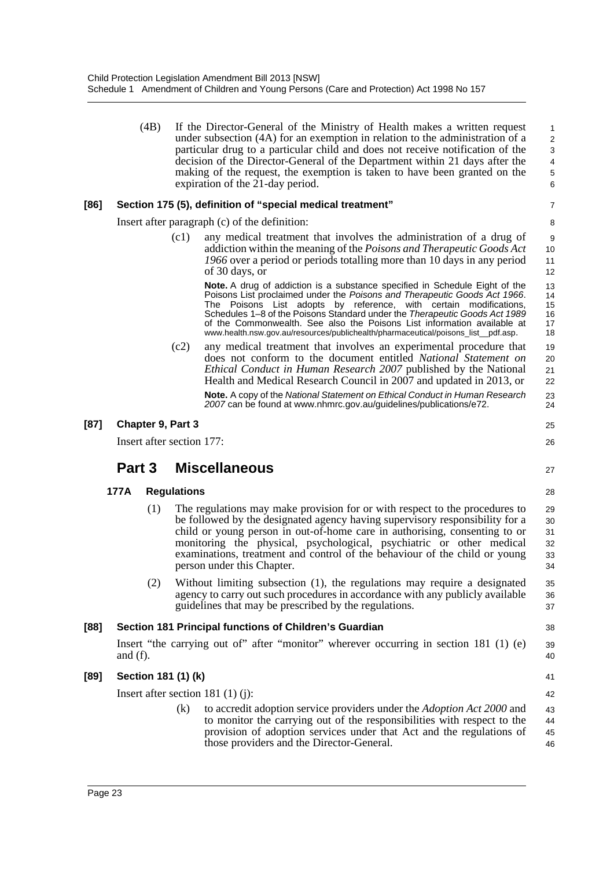|      |                                                | (4B) |                    | If the Director-General of the Ministry of Health makes a written request<br>under subsection (4A) for an exemption in relation to the administration of a<br>particular drug to a particular child and does not receive notification of the<br>decision of the Director-General of the Department within 21 days after the<br>making of the request, the exemption is taken to have been granted on the<br>expiration of the 21-day period.                                 | 1<br>$\sqrt{2}$<br>3<br>$\overline{\mathbf{4}}$<br>$\,$ 5 $\,$<br>6 |
|------|------------------------------------------------|------|--------------------|------------------------------------------------------------------------------------------------------------------------------------------------------------------------------------------------------------------------------------------------------------------------------------------------------------------------------------------------------------------------------------------------------------------------------------------------------------------------------|---------------------------------------------------------------------|
| [86] |                                                |      |                    | Section 175 (5), definition of "special medical treatment"                                                                                                                                                                                                                                                                                                                                                                                                                   | $\overline{7}$                                                      |
|      |                                                |      |                    | Insert after paragraph (c) of the definition:                                                                                                                                                                                                                                                                                                                                                                                                                                | 8                                                                   |
|      |                                                |      | (c1)               | any medical treatment that involves the administration of a drug of<br>addiction within the meaning of the Poisons and Therapeutic Goods Act<br>1966 over a period or periods totalling more than 10 days in any period<br>of 30 days, or                                                                                                                                                                                                                                    | 9<br>10<br>11<br>12                                                 |
|      |                                                |      |                    | Note. A drug of addiction is a substance specified in Schedule Eight of the<br>Poisons List proclaimed under the Poisons and Therapeutic Goods Act 1966.<br>The Poisons List adopts by reference, with certain modifications,<br>Schedules 1–8 of the Poisons Standard under the Therapeutic Goods Act 1989<br>of the Commonwealth. See also the Poisons List information available at<br>www.health.nsw.gov.au/resources/publichealth/pharmaceutical/poisons_list__pdf.asp. | 13<br>14<br>15<br>16<br>17<br>18                                    |
|      |                                                |      | (c2)               | any medical treatment that involves an experimental procedure that<br>does not conform to the document entitled National Statement on<br>Ethical Conduct in Human Research 2007 published by the National<br>Health and Medical Research Council in 2007 and updated in 2013, or                                                                                                                                                                                             | 19<br>20<br>21<br>22                                                |
|      |                                                |      |                    | Note. A copy of the National Statement on Ethical Conduct in Human Research<br>2007 can be found at www.nhmrc.gov.au/guidelines/publications/e72.                                                                                                                                                                                                                                                                                                                            | 23<br>24                                                            |
| [87] | Chapter 9, Part 3<br>Insert after section 177: |      |                    |                                                                                                                                                                                                                                                                                                                                                                                                                                                                              | 25<br>26                                                            |
|      | Part 3                                         |      |                    | <b>Miscellaneous</b>                                                                                                                                                                                                                                                                                                                                                                                                                                                         | 27                                                                  |
|      | 177A                                           |      | <b>Regulations</b> |                                                                                                                                                                                                                                                                                                                                                                                                                                                                              | 28                                                                  |
|      |                                                | (1)  |                    | The regulations may make provision for or with respect to the procedures to<br>be followed by the designated agency having supervisory responsibility for a<br>child or young person in out-of-home care in authorising, consenting to or<br>monitoring the physical, psychological, psychiatric or other medical<br>examinations, treatment and control of the behaviour of the child or young<br>person under this Chapter.                                                | 29<br>30<br>31<br>32<br>33<br>34                                    |
|      |                                                | (2)  |                    | Without limiting subsection (1), the regulations may require a designated<br>agency to carry out such procedures in accordance with any publicly available<br>guidelines that may be prescribed by the regulations.                                                                                                                                                                                                                                                          | 35<br>36<br>37                                                      |
| [88] |                                                |      |                    | Section 181 Principal functions of Children's Guardian                                                                                                                                                                                                                                                                                                                                                                                                                       | 38                                                                  |
|      | and $(f)$ .                                    |      |                    | Insert "the carrying out of" after "monitor" wherever occurring in section 181 (1) (e)                                                                                                                                                                                                                                                                                                                                                                                       | 39<br>40                                                            |
| [89] | Section 181 (1) (k)                            |      |                    |                                                                                                                                                                                                                                                                                                                                                                                                                                                                              | 41                                                                  |
|      |                                                |      |                    | Insert after section 181 $(1)$ $(i)$ :                                                                                                                                                                                                                                                                                                                                                                                                                                       | 42                                                                  |
|      |                                                |      | (k)                | to accredit adoption service providers under the <i>Adoption Act 2000</i> and<br>to monitor the carrying out of the responsibilities with respect to the<br>provision of adoption services under that Act and the regulations of<br>those providers and the Director-General.                                                                                                                                                                                                | 43<br>44<br>45<br>46                                                |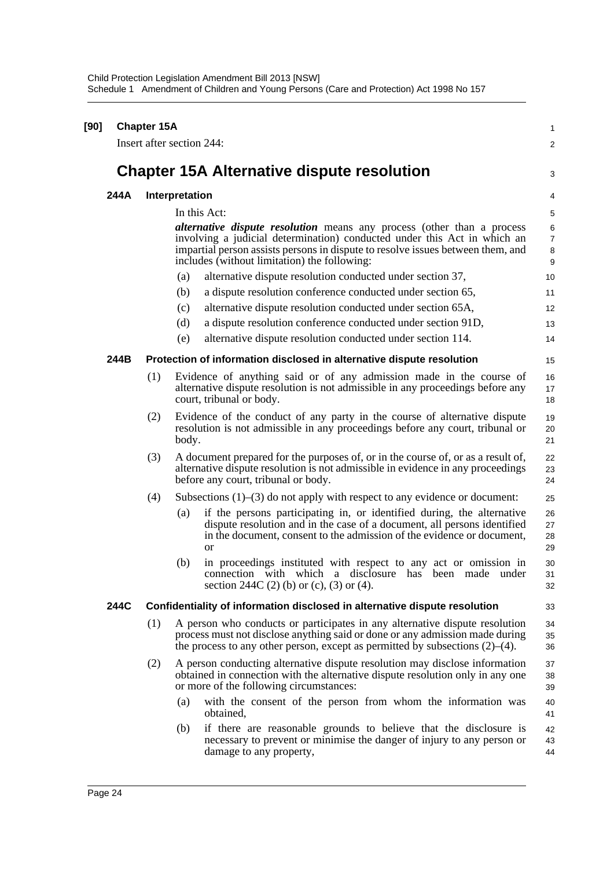| [90] |      | <b>Chapter 15A</b> |                                                                                                                                                                                                                                                                                              | 1                             |  |  |
|------|------|--------------------|----------------------------------------------------------------------------------------------------------------------------------------------------------------------------------------------------------------------------------------------------------------------------------------------|-------------------------------|--|--|
|      |      |                    | Insert after section 244:                                                                                                                                                                                                                                                                    | 2                             |  |  |
|      |      |                    | <b>Chapter 15A Alternative dispute resolution</b>                                                                                                                                                                                                                                            | 3                             |  |  |
|      | 244A | Interpretation     |                                                                                                                                                                                                                                                                                              |                               |  |  |
|      |      |                    | In this Act:                                                                                                                                                                                                                                                                                 | 5                             |  |  |
|      |      |                    | <i>alternative dispute resolution</i> means any process (other than a process<br>involving a judicial determination) conducted under this Act in which an<br>impartial person assists persons in dispute to resolve issues between them, and<br>includes (without limitation) the following: | 6<br>$\overline{7}$<br>8<br>9 |  |  |
|      |      |                    | alternative dispute resolution conducted under section 37,<br>(a)                                                                                                                                                                                                                            | 10                            |  |  |
|      |      |                    | a dispute resolution conference conducted under section 65,<br>(b)                                                                                                                                                                                                                           | 11                            |  |  |
|      |      |                    | alternative dispute resolution conducted under section 65A,<br>(c)                                                                                                                                                                                                                           | 12                            |  |  |
|      |      |                    | a dispute resolution conference conducted under section 91D,<br>(d)                                                                                                                                                                                                                          | 13                            |  |  |
|      |      |                    | alternative dispute resolution conducted under section 114.<br>(e)                                                                                                                                                                                                                           | 14                            |  |  |
|      | 244B |                    | Protection of information disclosed in alternative dispute resolution                                                                                                                                                                                                                        | 15                            |  |  |
|      |      | (1)                | Evidence of anything said or of any admission made in the course of<br>alternative dispute resolution is not admissible in any proceedings before any<br>court, tribunal or body.                                                                                                            | 16<br>17<br>18                |  |  |
|      |      | (2)                | Evidence of the conduct of any party in the course of alternative dispute<br>resolution is not admissible in any proceedings before any court, tribunal or<br>body.                                                                                                                          | 19<br>20<br>21                |  |  |
|      |      | (3)                | A document prepared for the purposes of, or in the course of, or as a result of,<br>alternative dispute resolution is not admissible in evidence in any proceedings<br>before any court, tribunal or body.                                                                                   | 22<br>23<br>24                |  |  |
|      |      | (4)                | Subsections $(1)$ – $(3)$ do not apply with respect to any evidence or document:                                                                                                                                                                                                             | 25                            |  |  |
|      |      |                    | if the persons participating in, or identified during, the alternative<br>(a)<br>dispute resolution and in the case of a document, all persons identified<br>in the document, consent to the admission of the evidence or document,<br>or                                                    | 26<br>27<br>28<br>29          |  |  |
|      |      |                    | in proceedings instituted with respect to any act or omission in<br>(b)<br>connection with which a disclosure has been made under<br>section 244C (2) (b) or (c), (3) or (4).                                                                                                                | 30<br>31<br>32                |  |  |
|      | 244C |                    | Confidentiality of information disclosed in alternative dispute resolution                                                                                                                                                                                                                   | 33                            |  |  |
|      |      | (1)                | A person who conducts or participates in any alternative dispute resolution<br>process must not disclose anything said or done or any admission made during<br>the process to any other person, except as permitted by subsections $(2)$ – $(4)$ .                                           | 34<br>35<br>36                |  |  |
|      |      | (2)                | A person conducting alternative dispute resolution may disclose information<br>obtained in connection with the alternative dispute resolution only in any one<br>or more of the following circumstances:                                                                                     | 37<br>38<br>39                |  |  |
|      |      |                    | with the consent of the person from whom the information was<br>(a)<br>obtained,                                                                                                                                                                                                             | 40<br>41                      |  |  |
|      |      |                    | if there are reasonable grounds to believe that the disclosure is<br>(b)<br>necessary to prevent or minimise the danger of injury to any person or<br>damage to any property,                                                                                                                | 42<br>43<br>44                |  |  |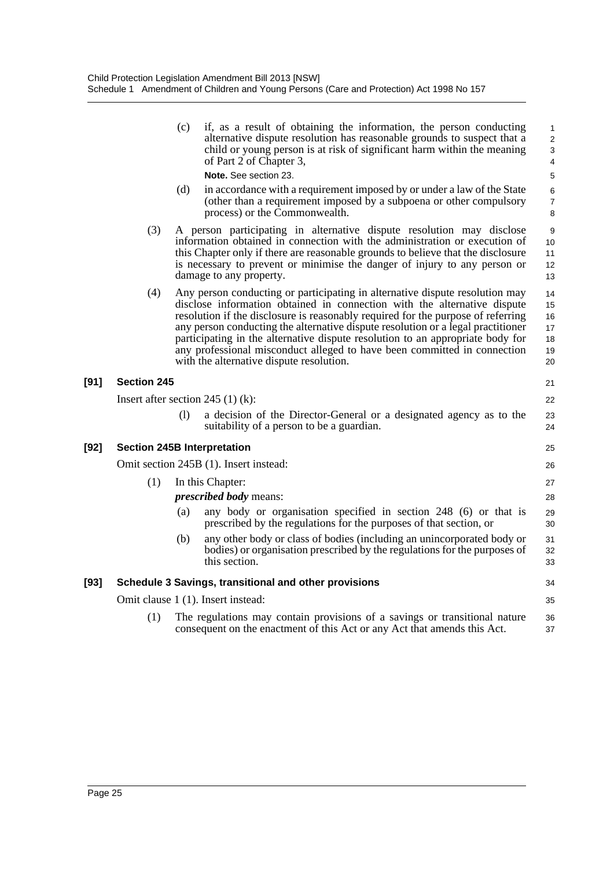|      |                                    | (c) | if, as a result of obtaining the information, the person conducting<br>alternative dispute resolution has reasonable grounds to suspect that a<br>child or young person is at risk of significant harm within the meaning<br>of Part 2 of Chapter 3,                                                                                                                                                                                                                                                                                       | 1<br>$\overline{\mathbf{c}}$<br>3<br>4 |
|------|------------------------------------|-----|--------------------------------------------------------------------------------------------------------------------------------------------------------------------------------------------------------------------------------------------------------------------------------------------------------------------------------------------------------------------------------------------------------------------------------------------------------------------------------------------------------------------------------------------|----------------------------------------|
|      |                                    |     | Note, See section 23.                                                                                                                                                                                                                                                                                                                                                                                                                                                                                                                      | 5                                      |
|      |                                    | (d) | in accordance with a requirement imposed by or under a law of the State<br>(other than a requirement imposed by a subpoena or other compulsory<br>process) or the Commonwealth.                                                                                                                                                                                                                                                                                                                                                            | 6<br>$\overline{7}$<br>8               |
|      | (3)                                |     | A person participating in alternative dispute resolution may disclose<br>information obtained in connection with the administration or execution of<br>this Chapter only if there are reasonable grounds to believe that the disclosure<br>is necessary to prevent or minimise the danger of injury to any person or<br>damage to any property.                                                                                                                                                                                            | 9<br>10<br>11<br>12<br>13              |
|      | (4)                                |     | Any person conducting or participating in alternative dispute resolution may<br>disclose information obtained in connection with the alternative dispute<br>resolution if the disclosure is reasonably required for the purpose of referring<br>any person conducting the alternative dispute resolution or a legal practitioner<br>participating in the alternative dispute resolution to an appropriate body for<br>any professional misconduct alleged to have been committed in connection<br>with the alternative dispute resolution. | 14<br>15<br>16<br>17<br>18<br>19<br>20 |
| [91] | <b>Section 245</b>                 |     |                                                                                                                                                                                                                                                                                                                                                                                                                                                                                                                                            | 21                                     |
|      |                                    |     | Insert after section 245 $(1)$ (k):                                                                                                                                                                                                                                                                                                                                                                                                                                                                                                        | 22                                     |
|      |                                    | (1) | a decision of the Director-General or a designated agency as to the<br>suitability of a person to be a guardian.                                                                                                                                                                                                                                                                                                                                                                                                                           | 23<br>24                               |
| [92] | <b>Section 245B Interpretation</b> |     |                                                                                                                                                                                                                                                                                                                                                                                                                                                                                                                                            | 25                                     |
|      |                                    |     | Omit section 245B (1). Insert instead:                                                                                                                                                                                                                                                                                                                                                                                                                                                                                                     | 26                                     |
|      | (1)                                |     | In this Chapter:                                                                                                                                                                                                                                                                                                                                                                                                                                                                                                                           | 27                                     |
|      |                                    |     | <i>prescribed body</i> means:                                                                                                                                                                                                                                                                                                                                                                                                                                                                                                              | 28                                     |
|      |                                    | (a) | any body or organisation specified in section 248 (6) or that is<br>prescribed by the regulations for the purposes of that section, or                                                                                                                                                                                                                                                                                                                                                                                                     | 29<br>30                               |
|      |                                    | (b) | any other body or class of bodies (including an unincorporated body or<br>bodies) or organisation prescribed by the regulations for the purposes of<br>this section.                                                                                                                                                                                                                                                                                                                                                                       | 31<br>32<br>33                         |
| [93] |                                    |     | Schedule 3 Savings, transitional and other provisions                                                                                                                                                                                                                                                                                                                                                                                                                                                                                      | 34                                     |
|      |                                    |     | Omit clause 1 (1). Insert instead:                                                                                                                                                                                                                                                                                                                                                                                                                                                                                                         | 35                                     |
|      | (1)                                |     | The regulations may contain provisions of a savings or transitional nature<br>consequent on the enactment of this Act or any Act that amends this Act.                                                                                                                                                                                                                                                                                                                                                                                     | 36<br>37                               |
|      |                                    |     |                                                                                                                                                                                                                                                                                                                                                                                                                                                                                                                                            |                                        |

**[91]** 

**[92]**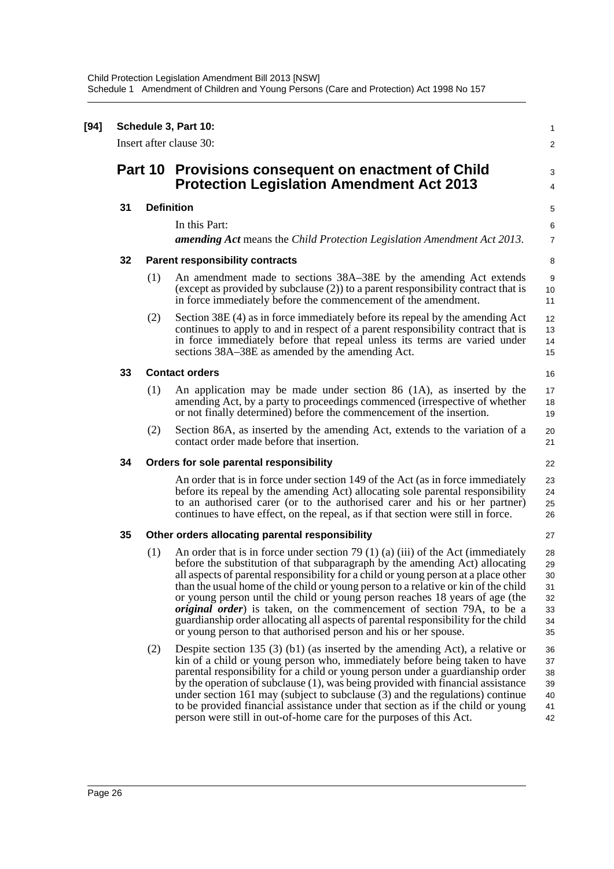| $[94]$ | Schedule 3, Part 10:<br>Insert after clause 30: |                                                       |                                                                                                                                                                                                                                                                                                                                                                                                                                                                                                                                                                                                                                                                                                                                                             |                                                    |  |  |  |
|--------|-------------------------------------------------|-------------------------------------------------------|-------------------------------------------------------------------------------------------------------------------------------------------------------------------------------------------------------------------------------------------------------------------------------------------------------------------------------------------------------------------------------------------------------------------------------------------------------------------------------------------------------------------------------------------------------------------------------------------------------------------------------------------------------------------------------------------------------------------------------------------------------------|----------------------------------------------------|--|--|--|
|        |                                                 | Part 10                                               | Provisions consequent on enactment of Child<br><b>Protection Legislation Amendment Act 2013</b>                                                                                                                                                                                                                                                                                                                                                                                                                                                                                                                                                                                                                                                             | 3<br>4                                             |  |  |  |
|        | 31                                              | <b>Definition</b>                                     |                                                                                                                                                                                                                                                                                                                                                                                                                                                                                                                                                                                                                                                                                                                                                             |                                                    |  |  |  |
|        |                                                 |                                                       | In this Part:<br><b>amending Act</b> means the Child Protection Legislation Amendment Act 2013.                                                                                                                                                                                                                                                                                                                                                                                                                                                                                                                                                                                                                                                             | 6<br>$\overline{7}$                                |  |  |  |
|        | 32                                              |                                                       | <b>Parent responsibility contracts</b>                                                                                                                                                                                                                                                                                                                                                                                                                                                                                                                                                                                                                                                                                                                      | 8                                                  |  |  |  |
|        |                                                 | (1)                                                   | An amendment made to sections 38A-38E by the amending Act extends<br>(except as provided by subclause $(2)$ ) to a parent responsibility contract that is<br>in force immediately before the commencement of the amendment.                                                                                                                                                                                                                                                                                                                                                                                                                                                                                                                                 | 9<br>10<br>11                                      |  |  |  |
|        |                                                 | (2)                                                   | Section 38E (4) as in force immediately before its repeal by the amending Act<br>continues to apply to and in respect of a parent responsibility contract that is<br>in force immediately before that repeal unless its terms are varied under<br>sections 38A-38E as amended by the amending Act.                                                                                                                                                                                                                                                                                                                                                                                                                                                          | 12<br>13<br>14<br>15                               |  |  |  |
|        | 33                                              | <b>Contact orders</b>                                 |                                                                                                                                                                                                                                                                                                                                                                                                                                                                                                                                                                                                                                                                                                                                                             |                                                    |  |  |  |
|        |                                                 | (1)                                                   | An application may be made under section 86 (1A), as inserted by the<br>amending Act, by a party to proceedings commenced (irrespective of whether<br>or not finally determined) before the commencement of the insertion.                                                                                                                                                                                                                                                                                                                                                                                                                                                                                                                                  | 17<br>18<br>19                                     |  |  |  |
|        |                                                 | (2)                                                   | Section 86A, as inserted by the amending Act, extends to the variation of a<br>contact order made before that insertion.                                                                                                                                                                                                                                                                                                                                                                                                                                                                                                                                                                                                                                    | 20<br>21                                           |  |  |  |
|        | 34                                              |                                                       | Orders for sole parental responsibility                                                                                                                                                                                                                                                                                                                                                                                                                                                                                                                                                                                                                                                                                                                     | 22                                                 |  |  |  |
|        |                                                 |                                                       | An order that is in force under section 149 of the Act (as in force immediately<br>before its repeal by the amending Act) allocating sole parental responsibility<br>to an authorised carer (or to the authorised carer and his or her partner)<br>continues to have effect, on the repeal, as if that section were still in force.                                                                                                                                                                                                                                                                                                                                                                                                                         | 23<br>24<br>25<br>26                               |  |  |  |
|        | 35                                              | Other orders allocating parental responsibility<br>27 |                                                                                                                                                                                                                                                                                                                                                                                                                                                                                                                                                                                                                                                                                                                                                             |                                                    |  |  |  |
|        |                                                 | (1)<br>(2)                                            | An order that is in force under section 79 (1) (a) (iii) of the Act (immediately<br>before the substitution of that subparagraph by the amending Act) allocating<br>all aspects of parental responsibility for a child or young person at a place other<br>than the usual home of the child or young person to a relative or kin of the child<br>or young person until the child or young person reaches 18 years of age (the<br><i>original order</i> ) is taken, on the commencement of section 79A, to be a<br>guardianship order allocating all aspects of parental responsibility for the child<br>or young person to that authorised person and his or her spouse.<br>Despite section 135 $(3)$ (b1) (as inserted by the amending Act), a relative or | 28<br>29<br>30<br>31<br>32<br>33<br>34<br>35<br>36 |  |  |  |
|        |                                                 |                                                       | kin of a child or young person who, immediately before being taken to have<br>parental responsibility for a child or young person under a guardianship order<br>by the operation of subclause (1), was being provided with financial assistance<br>under section $161$ may (subject to subclause $(3)$ and the regulations) continue<br>to be provided financial assistance under that section as if the child or young<br>person were still in out-of-home care for the purposes of this Act.                                                                                                                                                                                                                                                              | 37<br>38<br>39<br>40<br>41<br>42                   |  |  |  |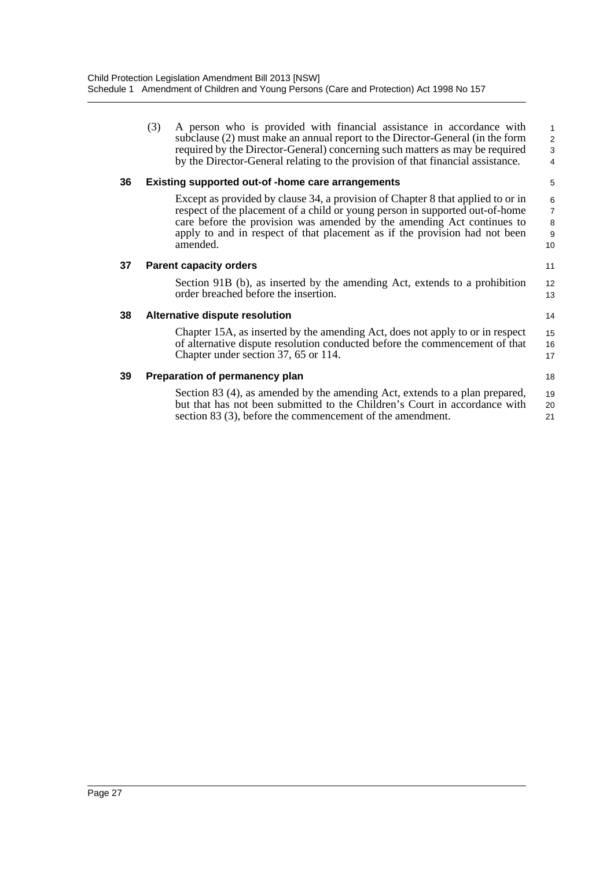(3) A person who is provided with financial assistance in accordance with subclause (2) must make an annual report to the Director-General (in the form required by the Director-General) concerning such matters as may be required by the Director-General relating to the provision of that financial assistance.

11

14

18

#### **36 Existing supported out-of -home care arrangements**

Except as provided by clause 34, a provision of Chapter 8 that applied to or in respect of the placement of a child or young person in supported out-of-home care before the provision was amended by the amending Act continues to apply to and in respect of that placement as if the provision had not been amended. 10

#### **37 Parent capacity orders**

Section 91B (b), as inserted by the amending Act, extends to a prohibition order breached before the insertion. 12 13

#### **38 Alternative dispute resolution**

Chapter 15A, as inserted by the amending Act, does not apply to or in respect of alternative dispute resolution conducted before the commencement of that Chapter under section 37, 65 or 114. 15 16 17

#### **39 Preparation of permanency plan**

Section 83 (4), as amended by the amending Act, extends to a plan prepared, but that has not been submitted to the Children's Court in accordance with section 83 (3), before the commencement of the amendment. 19 20 21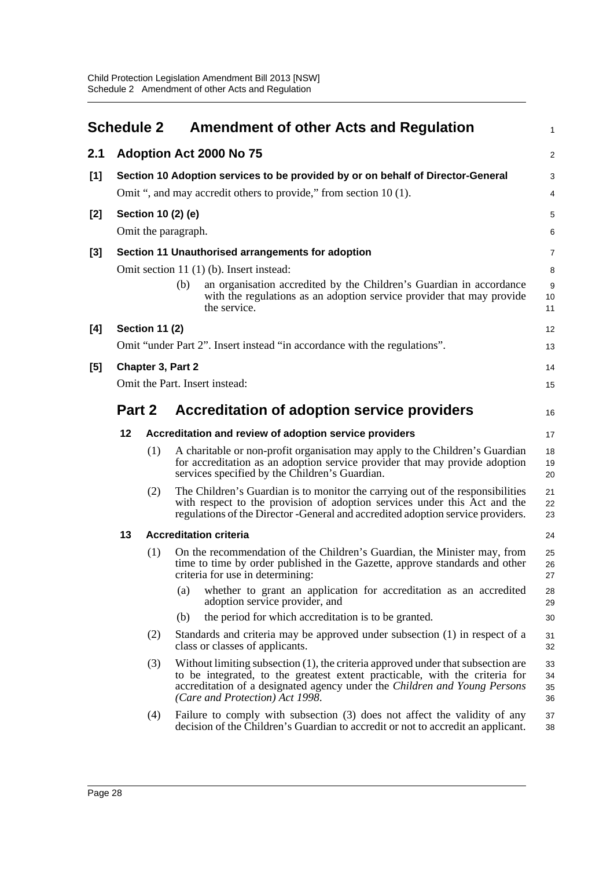<span id="page-34-0"></span>

|       | <b>Schedule 2</b> |                                                                                 | <b>Amendment of other Acts and Regulation</b>                                                                                                                                                                                                                                   | 1                    |  |  |  |
|-------|-------------------|---------------------------------------------------------------------------------|---------------------------------------------------------------------------------------------------------------------------------------------------------------------------------------------------------------------------------------------------------------------------------|----------------------|--|--|--|
| 2.1   |                   |                                                                                 | Adoption Act 2000 No 75                                                                                                                                                                                                                                                         | 2                    |  |  |  |
| [1]   |                   | Section 10 Adoption services to be provided by or on behalf of Director-General |                                                                                                                                                                                                                                                                                 |                      |  |  |  |
|       |                   | Omit ", and may accredit others to provide," from section 10 (1).               |                                                                                                                                                                                                                                                                                 |                      |  |  |  |
| $[2]$ |                   | Section 10 (2) (e)                                                              |                                                                                                                                                                                                                                                                                 |                      |  |  |  |
|       |                   |                                                                                 | Omit the paragraph.                                                                                                                                                                                                                                                             | 6                    |  |  |  |
| $[3]$ |                   | Section 11 Unauthorised arrangements for adoption                               |                                                                                                                                                                                                                                                                                 |                      |  |  |  |
|       |                   |                                                                                 | Omit section 11 (1) (b). Insert instead:                                                                                                                                                                                                                                        | 8                    |  |  |  |
|       |                   |                                                                                 | an organisation accredited by the Children's Guardian in accordance<br>(b)<br>with the regulations as an adoption service provider that may provide<br>the service.                                                                                                             | 9<br>10<br>11        |  |  |  |
| [4]   |                   | <b>Section 11 (2)</b>                                                           |                                                                                                                                                                                                                                                                                 | 12                   |  |  |  |
|       |                   |                                                                                 | Omit "under Part 2". Insert instead "in accordance with the regulations".                                                                                                                                                                                                       | 13                   |  |  |  |
| [5]   |                   |                                                                                 | Chapter 3, Part 2                                                                                                                                                                                                                                                               | 14                   |  |  |  |
|       |                   |                                                                                 | Omit the Part. Insert instead:                                                                                                                                                                                                                                                  | 15                   |  |  |  |
|       | Part 2            |                                                                                 | Accreditation of adoption service providers                                                                                                                                                                                                                                     | 16                   |  |  |  |
|       | 12                |                                                                                 | Accreditation and review of adoption service providers                                                                                                                                                                                                                          | 17                   |  |  |  |
|       |                   | (1)                                                                             | A charitable or non-profit organisation may apply to the Children's Guardian<br>for accreditation as an adoption service provider that may provide adoption<br>services specified by the Children's Guardian.                                                                   | 18<br>19<br>20       |  |  |  |
|       |                   | (2)                                                                             | The Children's Guardian is to monitor the carrying out of the responsibilities<br>with respect to the provision of adoption services under this Act and the<br>regulations of the Director - General and accredited adoption service providers.                                 | 21<br>22<br>23       |  |  |  |
|       | 13                |                                                                                 | <b>Accreditation criteria</b>                                                                                                                                                                                                                                                   | 24                   |  |  |  |
|       |                   | (1)                                                                             | On the recommendation of the Children's Guardian, the Minister may, from<br>time to time by order published in the Gazette, approve standards and other<br>criteria for use in determining:                                                                                     | 25<br>26<br>27       |  |  |  |
|       |                   |                                                                                 | whether to grant an application for accreditation as an accredited<br>(a)<br>adoption service provider, and                                                                                                                                                                     | 28<br>29             |  |  |  |
|       |                   |                                                                                 | the period for which accreditation is to be granted.<br>(b)                                                                                                                                                                                                                     | 30                   |  |  |  |
|       |                   | (2)                                                                             | Standards and criteria may be approved under subsection (1) in respect of a<br>class or classes of applicants.                                                                                                                                                                  | 31<br>32             |  |  |  |
|       |                   | (3)                                                                             | Without limiting subsection (1), the criteria approved under that subsection are<br>to be integrated, to the greatest extent practicable, with the criteria for<br>accreditation of a designated agency under the Children and Young Persons<br>(Care and Protection) Act 1998. | 33<br>34<br>35<br>36 |  |  |  |
|       |                   | (4)                                                                             | Failure to comply with subsection (3) does not affect the validity of any<br>decision of the Children's Guardian to accredit or not to accredit an applicant.                                                                                                                   | 37<br>38             |  |  |  |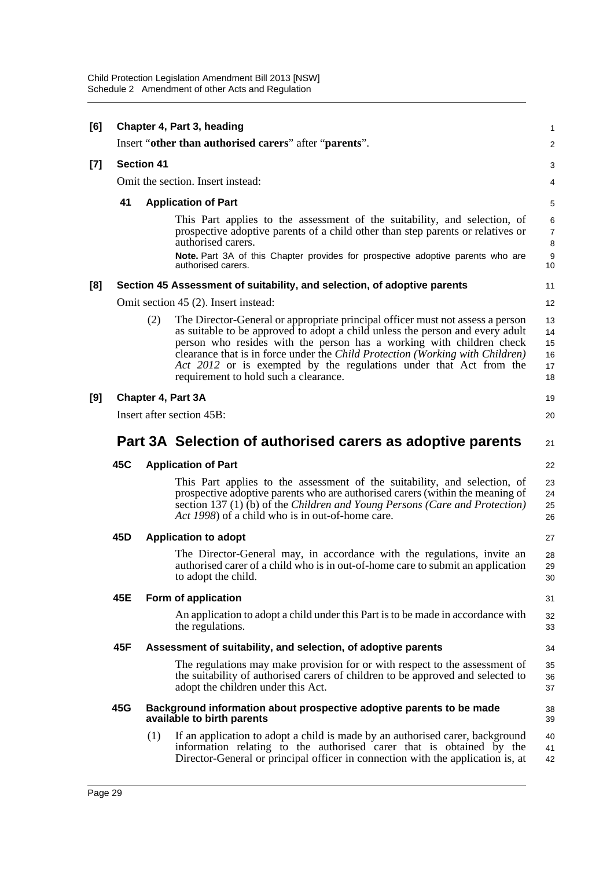| [6]   |                                                                  | Chapter 4, Part 3, heading<br>Insert "other than authorised carers" after "parents". |                                                                                                                                                                                                                                                                                                                                                                                                                                         |                                                    |  |  |
|-------|------------------------------------------------------------------|--------------------------------------------------------------------------------------|-----------------------------------------------------------------------------------------------------------------------------------------------------------------------------------------------------------------------------------------------------------------------------------------------------------------------------------------------------------------------------------------------------------------------------------------|----------------------------------------------------|--|--|
| $[7]$ | <b>Section 41</b>                                                |                                                                                      |                                                                                                                                                                                                                                                                                                                                                                                                                                         |                                                    |  |  |
|       | Omit the section. Insert instead:                                |                                                                                      |                                                                                                                                                                                                                                                                                                                                                                                                                                         |                                                    |  |  |
|       | 41                                                               |                                                                                      | <b>Application of Part</b>                                                                                                                                                                                                                                                                                                                                                                                                              | 5                                                  |  |  |
|       |                                                                  |                                                                                      | This Part applies to the assessment of the suitability, and selection, of<br>prospective adoptive parents of a child other than step parents or relatives or<br>authorised carers.<br>Note. Part 3A of this Chapter provides for prospective adoptive parents who are<br>authorised carers.                                                                                                                                             | 6<br>$\overline{7}$<br>8<br>$\boldsymbol{9}$<br>10 |  |  |
| [8]   |                                                                  |                                                                                      | Section 45 Assessment of suitability, and selection, of adoptive parents                                                                                                                                                                                                                                                                                                                                                                | 11                                                 |  |  |
|       |                                                                  |                                                                                      | Omit section 45 (2). Insert instead:                                                                                                                                                                                                                                                                                                                                                                                                    | 12                                                 |  |  |
|       |                                                                  | (2)                                                                                  | The Director-General or appropriate principal officer must not assess a person<br>as suitable to be approved to adopt a child unless the person and every adult<br>person who resides with the person has a working with children check<br>clearance that is in force under the Child Protection (Working with Children)<br>Act 2012 or is exempted by the regulations under that Act from the<br>requirement to hold such a clearance. | 13<br>14<br>15<br>16<br>17<br>18                   |  |  |
| [9]   |                                                                  |                                                                                      | <b>Chapter 4, Part 3A</b>                                                                                                                                                                                                                                                                                                                                                                                                               | 19                                                 |  |  |
|       |                                                                  |                                                                                      | Insert after section 45B:                                                                                                                                                                                                                                                                                                                                                                                                               | 20                                                 |  |  |
|       | Part 3A Selection of authorised carers as adoptive parents<br>21 |                                                                                      |                                                                                                                                                                                                                                                                                                                                                                                                                                         |                                                    |  |  |
|       | 45C                                                              |                                                                                      | <b>Application of Part</b>                                                                                                                                                                                                                                                                                                                                                                                                              | 22                                                 |  |  |
|       |                                                                  |                                                                                      | This Part applies to the assessment of the suitability, and selection, of<br>prospective adoptive parents who are authorised carers (within the meaning of<br>section 137 (1) (b) of the Children and Young Persons (Care and Protection)<br>Act 1998) of a child who is in out-of-home care.                                                                                                                                           | 23<br>24<br>25<br>26                               |  |  |
|       | 45D                                                              |                                                                                      | <b>Application to adopt</b>                                                                                                                                                                                                                                                                                                                                                                                                             | 27                                                 |  |  |
|       |                                                                  |                                                                                      | The Director-General may, in accordance with the regulations, invite an<br>authorised carer of a child who is in out-of-home care to submit an application<br>to adopt the child.                                                                                                                                                                                                                                                       | 28<br>29<br>30                                     |  |  |
|       | 45E                                                              |                                                                                      | Form of application                                                                                                                                                                                                                                                                                                                                                                                                                     | 31                                                 |  |  |
|       |                                                                  |                                                                                      | An application to adopt a child under this Part is to be made in accordance with<br>the regulations.                                                                                                                                                                                                                                                                                                                                    | 32<br>33                                           |  |  |
|       | 45F                                                              |                                                                                      | Assessment of suitability, and selection, of adoptive parents                                                                                                                                                                                                                                                                                                                                                                           | 34                                                 |  |  |
|       |                                                                  |                                                                                      | The regulations may make provision for or with respect to the assessment of<br>the suitability of authorised carers of children to be approved and selected to<br>adopt the children under this Act.                                                                                                                                                                                                                                    | 35<br>36<br>37                                     |  |  |
|       | 45G                                                              |                                                                                      | Background information about prospective adoptive parents to be made<br>available to birth parents                                                                                                                                                                                                                                                                                                                                      | 38<br>39                                           |  |  |
|       |                                                                  | (1)                                                                                  | If an application to adopt a child is made by an authorised carer, background<br>information relating to the authorised carer that is obtained by the<br>Director-General or principal officer in connection with the application is, at                                                                                                                                                                                                | 40<br>41<br>42                                     |  |  |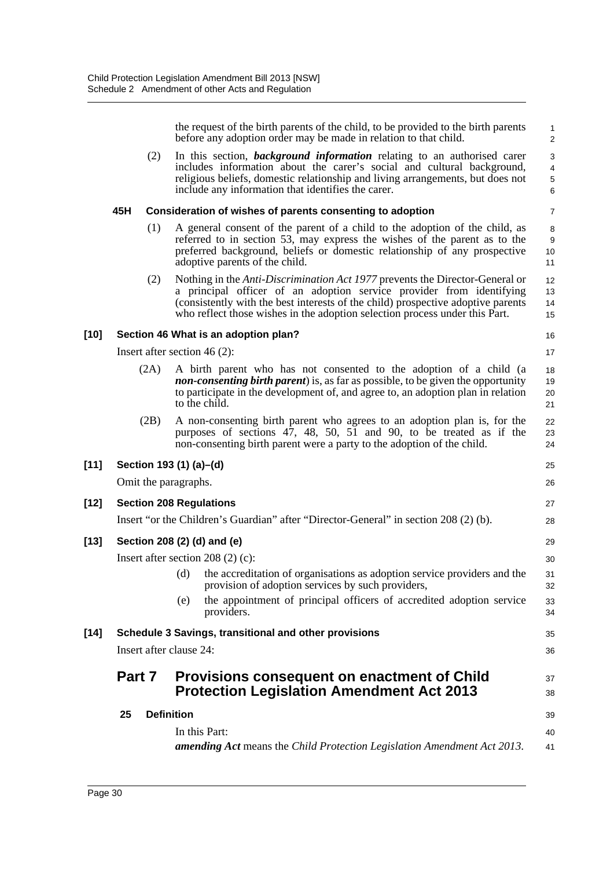the request of the birth parents of the child, to be provided to the birth parents before any adoption order may be made in relation to that child. (2) In this section, *background information* relating to an authorised carer includes information about the carer's social and cultural background, religious beliefs, domestic relationship and living arrangements, but does not include any information that identifies the carer. **45H Consideration of wishes of parents consenting to adoption** (1) A general consent of the parent of a child to the adoption of the child, as referred to in section 53, may express the wishes of the parent as to the preferred background, beliefs or domestic relationship of any prospective adoptive parents of the child. (2) Nothing in the *Anti-Discrimination Act 1977* prevents the Director-General or a principal officer of an adoption service provider from identifying (consistently with the best interests of the child) prospective adoptive parents who reflect those wishes in the adoption selection process under this Part. **[10] Section 46 What is an adoption plan?** Insert after section 46 (2): (2A) A birth parent who has not consented to the adoption of a child (a *non-consenting birth parent*) is, as far as possible, to be given the opportunity to participate in the development of, and agree to, an adoption plan in relation to the child. (2B) A non-consenting birth parent who agrees to an adoption plan is, for the purposes of sections 47, 48, 50, 51 and 90, to be treated as if the non-consenting birth parent were a party to the adoption of the child. **[11] Section 193 (1) (a)–(d)** Omit the paragraphs. **[12] Section 208 Regulations** Insert "or the Children's Guardian" after "Director-General" in section 208 (2) (b). **[13] Section 208 (2) (d) and (e)** Insert after section 208 (2) (c): (d) the accreditation of organisations as adoption service providers and the provision of adoption services by such providers, (e) the appointment of principal officers of accredited adoption service providers. **[14] Schedule 3 Savings, transitional and other provisions** Insert after clause 24: **Part 7 Provisions consequent on enactment of Child Protection Legislation Amendment Act 2013 25 Definition** In this Part: *amending Act* means the *Child Protection Legislation Amendment Act 2013*. 1  $\mathfrak{p}$ 3 4 5 6 7 8 9 10 11 12 13 14 15 16 17 18 19 20 21 22 23  $24$ 25 26 27 28 29 30 31 32 33 34 35 36 37 38 39  $40$ 41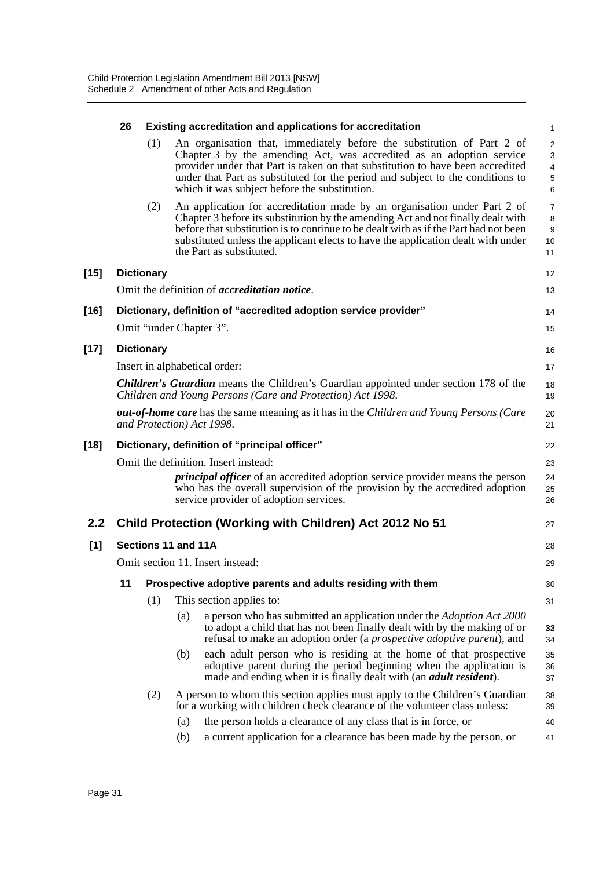|        | 26                                                                                                                   |                   | <b>Existing accreditation and applications for accreditation</b>                                                                                                                                                                                                                                                                                                     | $\mathbf{1}$                                           |  |
|--------|----------------------------------------------------------------------------------------------------------------------|-------------------|----------------------------------------------------------------------------------------------------------------------------------------------------------------------------------------------------------------------------------------------------------------------------------------------------------------------------------------------------------------------|--------------------------------------------------------|--|
|        |                                                                                                                      | (1)               | An organisation that, immediately before the substitution of Part 2 of<br>Chapter 3 by the amending Act, was accredited as an adoption service<br>provider under that Part is taken on that substitution to have been accredited<br>under that Part as substituted for the period and subject to the conditions to<br>which it was subject before the substitution.  | $\overline{2}$<br>$\mathsf 3$<br>4<br>$\mathbf 5$<br>6 |  |
|        |                                                                                                                      | (2)               | An application for accreditation made by an organisation under Part 2 of<br>Chapter 3 before its substitution by the amending Act and not finally dealt with<br>before that substitution is to continue to be dealt with as if the Part had not been<br>substituted unless the applicant elects to have the application dealt with under<br>the Part as substituted. | $\overline{7}$<br>8<br>$\boldsymbol{9}$<br>10<br>11    |  |
| $[15]$ |                                                                                                                      | <b>Dictionary</b> |                                                                                                                                                                                                                                                                                                                                                                      | 12                                                     |  |
|        |                                                                                                                      |                   | Omit the definition of <i>accreditation notice</i> .                                                                                                                                                                                                                                                                                                                 | 13                                                     |  |
| [16]   |                                                                                                                      |                   | Dictionary, definition of "accredited adoption service provider"                                                                                                                                                                                                                                                                                                     | 14                                                     |  |
|        |                                                                                                                      |                   | Omit "under Chapter 3".                                                                                                                                                                                                                                                                                                                                              | 15                                                     |  |
| $[17]$ |                                                                                                                      | <b>Dictionary</b> |                                                                                                                                                                                                                                                                                                                                                                      | 16                                                     |  |
|        |                                                                                                                      |                   | Insert in alphabetical order:                                                                                                                                                                                                                                                                                                                                        | 17                                                     |  |
|        |                                                                                                                      |                   | <b>Children's Guardian</b> means the Children's Guardian appointed under section 178 of the<br>Children and Young Persons (Care and Protection) Act 1998.                                                                                                                                                                                                            | 18<br>19                                               |  |
|        | out-of-home care has the same meaning as it has in the Children and Young Persons (Care<br>and Protection) Act 1998. |                   |                                                                                                                                                                                                                                                                                                                                                                      |                                                        |  |
| $[18]$ | Dictionary, definition of "principal officer"                                                                        |                   |                                                                                                                                                                                                                                                                                                                                                                      |                                                        |  |
|        |                                                                                                                      |                   | Omit the definition. Insert instead:                                                                                                                                                                                                                                                                                                                                 | 23                                                     |  |
|        |                                                                                                                      |                   | <i>principal officer</i> of an accredited adoption service provider means the person<br>who has the overall supervision of the provision by the accredited adoption<br>service provider of adoption services.                                                                                                                                                        | 24<br>25<br>26                                         |  |
| 2.2    |                                                                                                                      |                   | Child Protection (Working with Children) Act 2012 No 51                                                                                                                                                                                                                                                                                                              | 27                                                     |  |
| [1]    | Sections 11 and 11A                                                                                                  |                   |                                                                                                                                                                                                                                                                                                                                                                      |                                                        |  |
|        |                                                                                                                      |                   | Omit section 11. Insert instead:                                                                                                                                                                                                                                                                                                                                     | 29                                                     |  |
|        |                                                                                                                      |                   | 11 Prospective adoptive parents and adults residing with them                                                                                                                                                                                                                                                                                                        | 30                                                     |  |
|        |                                                                                                                      | (1)               | This section applies to:                                                                                                                                                                                                                                                                                                                                             | 31                                                     |  |
|        |                                                                                                                      |                   | (a)<br>a person who has submitted an application under the Adoption Act 2000<br>to adopt a child that has not been finally dealt with by the making of or<br>refusal to make an adoption order (a <i>prospective adoptive parent</i> ), and                                                                                                                          | 33<br>34                                               |  |
|        |                                                                                                                      |                   | each adult person who is residing at the home of that prospective<br>(b)<br>adoptive parent during the period beginning when the application is<br>made and ending when it is finally dealt with (an <i>adult resident</i> ).                                                                                                                                        | 35<br>36<br>37                                         |  |
|        |                                                                                                                      | (2)               | A person to whom this section applies must apply to the Children's Guardian<br>for a working with children check clearance of the volunteer class unless:                                                                                                                                                                                                            | 38<br>39                                               |  |
|        |                                                                                                                      |                   | the person holds a clearance of any class that is in force, or<br>(a)                                                                                                                                                                                                                                                                                                | 40                                                     |  |
|        |                                                                                                                      |                   | (b)<br>a current application for a clearance has been made by the person, or                                                                                                                                                                                                                                                                                         | 41                                                     |  |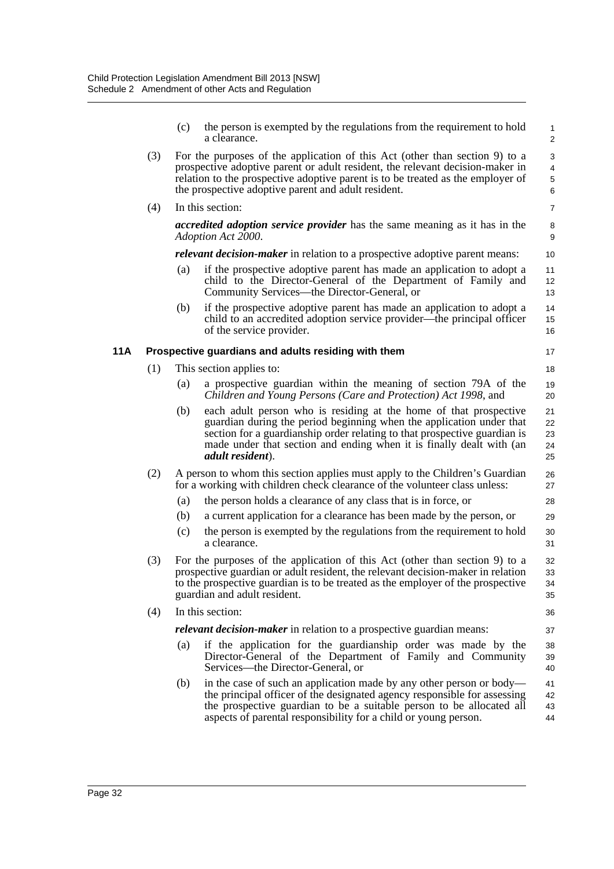|     |     | (c)                                                                                                                                                                                                                                                                                                    | the person is exempted by the regulations from the requirement to hold<br>a clearance.                                                                                                                                                                                                                                     | $\mathbf{1}$<br>2          |  |
|-----|-----|--------------------------------------------------------------------------------------------------------------------------------------------------------------------------------------------------------------------------------------------------------------------------------------------------------|----------------------------------------------------------------------------------------------------------------------------------------------------------------------------------------------------------------------------------------------------------------------------------------------------------------------------|----------------------------|--|
|     | (3) | For the purposes of the application of this Act (other than section 9) to a<br>prospective adoptive parent or adult resident, the relevant decision-maker in<br>relation to the prospective adoptive parent is to be treated as the employer of<br>the prospective adoptive parent and adult resident. |                                                                                                                                                                                                                                                                                                                            |                            |  |
|     | (4) |                                                                                                                                                                                                                                                                                                        | In this section:                                                                                                                                                                                                                                                                                                           | $\overline{7}$             |  |
|     |     |                                                                                                                                                                                                                                                                                                        | <i>accredited adoption service provider</i> has the same meaning as it has in the<br>Adoption Act 2000.                                                                                                                                                                                                                    | 8<br>9                     |  |
|     |     |                                                                                                                                                                                                                                                                                                        | <i>relevant decision-maker</i> in relation to a prospective adoptive parent means:                                                                                                                                                                                                                                         | 10                         |  |
|     |     | (a)                                                                                                                                                                                                                                                                                                    | if the prospective adoptive parent has made an application to adopt a<br>child to the Director-General of the Department of Family and<br>Community Services—the Director-General, or                                                                                                                                      | 11<br>12<br>13             |  |
|     |     | (b)                                                                                                                                                                                                                                                                                                    | if the prospective adoptive parent has made an application to adopt a<br>child to an accredited adoption service provider—the principal officer<br>of the service provider.                                                                                                                                                | 14<br>15<br>16             |  |
| 11A |     |                                                                                                                                                                                                                                                                                                        | Prospective guardians and adults residing with them                                                                                                                                                                                                                                                                        | 17                         |  |
|     | (1) |                                                                                                                                                                                                                                                                                                        | This section applies to:                                                                                                                                                                                                                                                                                                   | 18                         |  |
|     |     | (a)                                                                                                                                                                                                                                                                                                    | a prospective guardian within the meaning of section 79A of the<br>Children and Young Persons (Care and Protection) Act 1998, and                                                                                                                                                                                          | 19<br>20                   |  |
|     |     | (b)                                                                                                                                                                                                                                                                                                    | each adult person who is residing at the home of that prospective<br>guardian during the period beginning when the application under that<br>section for a guardianship order relating to that prospective guardian is<br>made under that section and ending when it is finally dealt with (an<br><i>adult resident</i> ). | 21<br>22<br>23<br>24<br>25 |  |
|     | (2) | A person to whom this section applies must apply to the Children's Guardian<br>26<br>for a working with children check clearance of the volunteer class unless:<br>27                                                                                                                                  |                                                                                                                                                                                                                                                                                                                            |                            |  |
|     |     | (a)                                                                                                                                                                                                                                                                                                    | the person holds a clearance of any class that is in force, or                                                                                                                                                                                                                                                             | 28                         |  |
|     |     | (b)                                                                                                                                                                                                                                                                                                    | a current application for a clearance has been made by the person, or                                                                                                                                                                                                                                                      | 29                         |  |
|     |     | (c)                                                                                                                                                                                                                                                                                                    | the person is exempted by the regulations from the requirement to hold<br>a clearance.                                                                                                                                                                                                                                     | 30<br>31                   |  |
|     | (3) | For the purposes of the application of this Act (other than section 9) to a<br>prospective guardian or adult resident, the relevant decision-maker in relation<br>to the prospective guardian is to be treated as the employer of the prospective<br>guardian and adult resident.                      |                                                                                                                                                                                                                                                                                                                            |                            |  |
|     | (4) | In this section:                                                                                                                                                                                                                                                                                       |                                                                                                                                                                                                                                                                                                                            |                            |  |
|     |     |                                                                                                                                                                                                                                                                                                        | relevant decision-maker in relation to a prospective guardian means:                                                                                                                                                                                                                                                       | 37                         |  |
|     |     | (a)                                                                                                                                                                                                                                                                                                    | if the application for the guardianship order was made by the<br>Director-General of the Department of Family and Community<br>Services—the Director-General, or                                                                                                                                                           | 38<br>39<br>40             |  |
|     |     | (b)                                                                                                                                                                                                                                                                                                    | in the case of such an application made by any other person or body—<br>the principal officer of the designated agency responsible for assessing<br>the prospective guardian to be a suitable person to be allocated all<br>aspects of parental responsibility for a child or young person.                                | 41<br>42<br>43<br>44       |  |